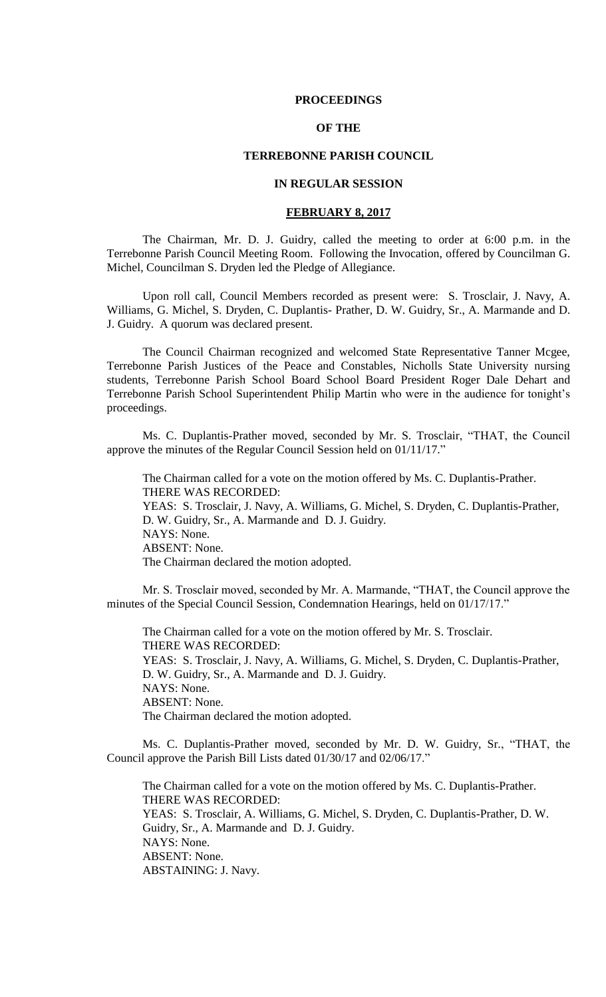## **PROCEEDINGS**

# **OF THE**

## **TERREBONNE PARISH COUNCIL**

## **IN REGULAR SESSION**

## **FEBRUARY 8, 2017**

The Chairman, Mr. D. J. Guidry, called the meeting to order at 6:00 p.m. in the Terrebonne Parish Council Meeting Room. Following the Invocation, offered by Councilman G. Michel, Councilman S. Dryden led the Pledge of Allegiance.

Upon roll call, Council Members recorded as present were: S. Trosclair, J. Navy, A. Williams, G. Michel, S. Dryden, C. Duplantis- Prather, D. W. Guidry, Sr., A. Marmande and D. J. Guidry. A quorum was declared present.

The Council Chairman recognized and welcomed State Representative Tanner Mcgee, Terrebonne Parish Justices of the Peace and Constables, Nicholls State University nursing students, Terrebonne Parish School Board School Board President Roger Dale Dehart and Terrebonne Parish School Superintendent Philip Martin who were in the audience for tonight's proceedings.

Ms. C. Duplantis-Prather moved, seconded by Mr. S. Trosclair, "THAT, the Council approve the minutes of the Regular Council Session held on 01/11/17."

The Chairman called for a vote on the motion offered by Ms. C. Duplantis-Prather. THERE WAS RECORDED: YEAS: S. Trosclair, J. Navy, A. Williams, G. Michel, S. Dryden, C. Duplantis-Prather, D. W. Guidry, Sr., A. Marmande and D. J. Guidry. NAYS: None. ABSENT: None. The Chairman declared the motion adopted.

Mr. S. Trosclair moved, seconded by Mr. A. Marmande, "THAT, the Council approve the minutes of the Special Council Session, Condemnation Hearings, held on 01/17/17."

The Chairman called for a vote on the motion offered by Mr. S. Trosclair. THERE WAS RECORDED: YEAS: S. Trosclair, J. Navy, A. Williams, G. Michel, S. Dryden, C. Duplantis-Prather, D. W. Guidry, Sr., A. Marmande and D. J. Guidry. NAYS: None. ABSENT: None. The Chairman declared the motion adopted.

Ms. C. Duplantis-Prather moved, seconded by Mr. D. W. Guidry, Sr., "THAT, the Council approve the Parish Bill Lists dated 01/30/17 and 02/06/17."

The Chairman called for a vote on the motion offered by Ms. C. Duplantis-Prather. THERE WAS RECORDED: YEAS: S. Trosclair, A. Williams, G. Michel, S. Dryden, C. Duplantis-Prather, D. W. Guidry, Sr., A. Marmande and D. J. Guidry. NAYS: None. ABSENT: None. ABSTAINING: J. Navy.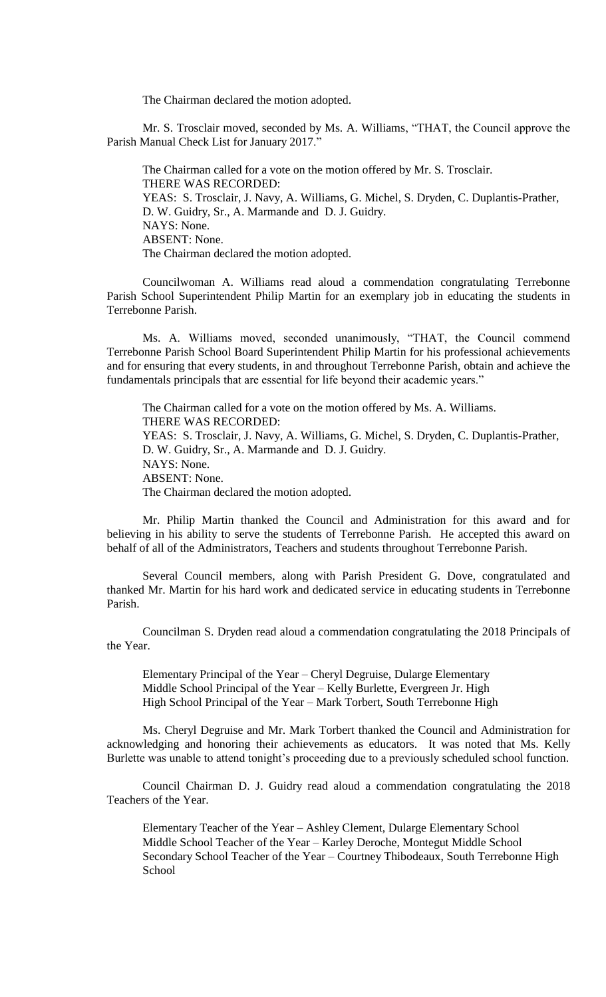The Chairman declared the motion adopted.

Mr. S. Trosclair moved, seconded by Ms. A. Williams, "THAT, the Council approve the Parish Manual Check List for January 2017."

The Chairman called for a vote on the motion offered by Mr. S. Trosclair. THERE WAS RECORDED: YEAS: S. Trosclair, J. Navy, A. Williams, G. Michel, S. Dryden, C. Duplantis-Prather, D. W. Guidry, Sr., A. Marmande and D. J. Guidry. NAYS: None. ABSENT: None. The Chairman declared the motion adopted.

Councilwoman A. Williams read aloud a commendation congratulating Terrebonne Parish School Superintendent Philip Martin for an exemplary job in educating the students in Terrebonne Parish.

Ms. A. Williams moved, seconded unanimously, "THAT, the Council commend Terrebonne Parish School Board Superintendent Philip Martin for his professional achievements and for ensuring that every students, in and throughout Terrebonne Parish, obtain and achieve the fundamentals principals that are essential for life beyond their academic years."

The Chairman called for a vote on the motion offered by Ms. A. Williams. THERE WAS RECORDED: YEAS: S. Trosclair, J. Navy, A. Williams, G. Michel, S. Dryden, C. Duplantis-Prather, D. W. Guidry, Sr., A. Marmande and D. J. Guidry. NAYS: None. ABSENT: None. The Chairman declared the motion adopted.

Mr. Philip Martin thanked the Council and Administration for this award and for believing in his ability to serve the students of Terrebonne Parish. He accepted this award on behalf of all of the Administrators, Teachers and students throughout Terrebonne Parish.

Several Council members, along with Parish President G. Dove, congratulated and thanked Mr. Martin for his hard work and dedicated service in educating students in Terrebonne Parish.

Councilman S. Dryden read aloud a commendation congratulating the 2018 Principals of the Year.

Elementary Principal of the Year – Cheryl Degruise, Dularge Elementary Middle School Principal of the Year – Kelly Burlette, Evergreen Jr. High High School Principal of the Year - Mark Torbert, South Terrebonne High

Ms. Cheryl Degruise and Mr. Mark Torbert thanked the Council and Administration for acknowledging and honoring their achievements as educators. It was noted that Ms. Kelly Burlette was unable to attend tonight's proceeding due to a previously scheduled school function.

Council Chairman D. J. Guidry read aloud a commendation congratulating the 2018 Teachers of the Year.

Elementary Teacher of the Year – Ashley Clement, Dularge Elementary School Middle School Teacher of the Year – Karley Deroche, Montegut Middle School Secondary School Teacher of the Year – Courtney Thibodeaux, South Terrebonne High School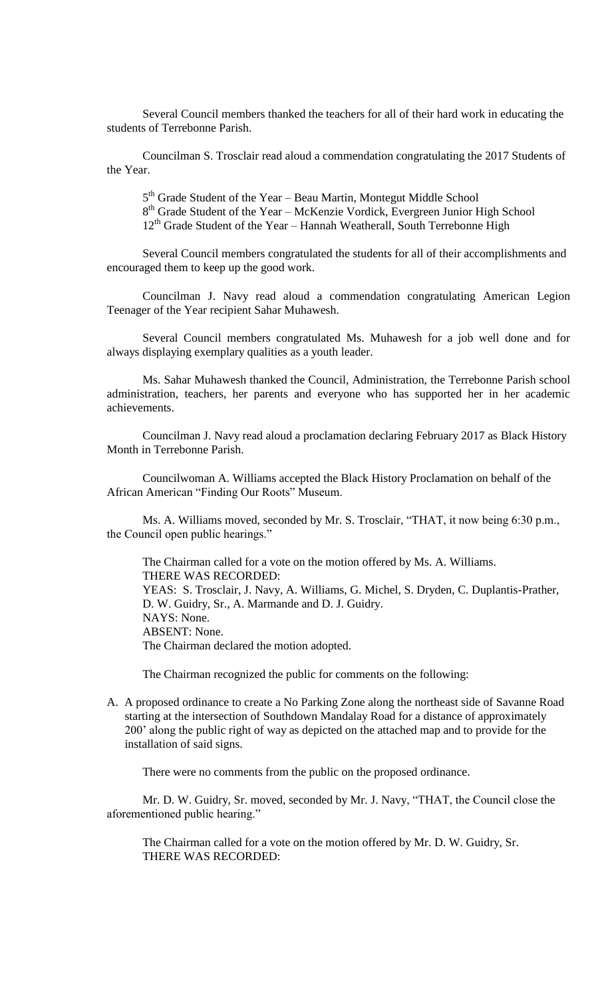Several Council members thanked the teachers for all of their hard work in educating the students of Terrebonne Parish.

Councilman S. Trosclair read aloud a commendation congratulating the 2017 Students of the Year.

5<sup>th</sup> Grade Student of the Year – Beau Martin, Montegut Middle School 8<sup>th</sup> Grade Student of the Year – McKenzie Vordick, Evergreen Junior High School 12<sup>th</sup> Grade Student of the Year – Hannah Weatherall, South Terrebonne High

Several Council members congratulated the students for all of their accomplishments and encouraged them to keep up the good work.

Councilman J. Navy read aloud a commendation congratulating American Legion Teenager of the Year recipient Sahar Muhawesh.

Several Council members congratulated Ms. Muhawesh for a job well done and for always displaying exemplary qualities as a youth leader.

Ms. Sahar Muhawesh thanked the Council, Administration, the Terrebonne Parish school administration, teachers, her parents and everyone who has supported her in her academic achievements.

Councilman J. Navy read aloud a proclamation declaring February 2017 as Black History Month in Terrebonne Parish.

Councilwoman A. Williams accepted the Black History Proclamation on behalf of the African American "Finding Our Roots" Museum.

Ms. A. Williams moved, seconded by Mr. S. Trosclair, "THAT, it now being 6:30 p.m., the Council open public hearings."

The Chairman called for a vote on the motion offered by Ms. A. Williams. THERE WAS RECORDED: YEAS: S. Trosclair, J. Navy, A. Williams, G. Michel, S. Dryden, C. Duplantis-Prather, D. W. Guidry, Sr., A. Marmande and D. J. Guidry. NAYS: None. ABSENT: None. The Chairman declared the motion adopted.

The Chairman recognized the public for comments on the following:

A. A proposed ordinance to create a No Parking Zone along the northeast side of Savanne Road starting at the intersection of Southdown Mandalay Road for a distance of approximately 200' along the public right of way as depicted on the attached map and to provide for the installation of said signs.

There were no comments from the public on the proposed ordinance.

Mr. D. W. Guidry, Sr. moved, seconded by Mr. J. Navy, "THAT, the Council close the aforementioned public hearing."

The Chairman called for a vote on the motion offered by Mr. D. W. Guidry, Sr. THERE WAS RECORDED: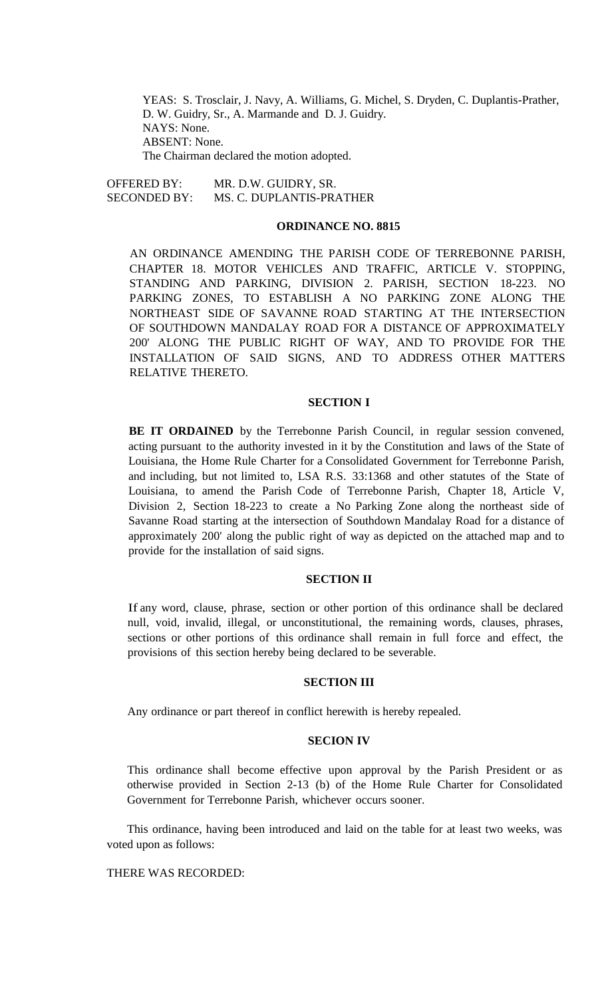YEAS: S. Trosclair, J. Navy, A. Williams, G. Michel, S. Dryden, C. Duplantis-Prather, D. W. Guidry, Sr., A. Marmande and D. J. Guidry. NAYS: None. ABSENT: None. The Chairman declared the motion adopted.

OFFERED BY: MR. D.W. GUIDRY, SR. SECONDED BY: MS. C. DUPLANTIS-PRATHER

### **ORDINANCE NO. 8815**

AN ORDINANCE AMENDING THE PARISH CODE OF TERREBONNE PARISH, CHAPTER 18. MOTOR VEHICLES AND TRAFFIC, ARTICLE V. STOPPING, STANDING AND PARKING, DIVISION 2. PARISH, SECTION 18-223. NO PARKING ZONES, TO ESTABLISH A NO PARKING ZONE ALONG THE NORTHEAST SIDE OF SAVANNE ROAD STARTING AT THE INTERSECTION OF SOUTHDOWN MANDALAY ROAD FOR A DISTANCE OF APPROXIMATELY 200' ALONG THE PUBLIC RIGHT OF WAY, AND TO PROVIDE FOR THE INSTALLATION OF SAID SIGNS, AND TO ADDRESS OTHER MATTERS RELATIVE THERETO.

### **SECTION I**

**BE IT ORDAINED** by the Terrebonne Parish Council, in regular session convened, acting pursuant to the authority invested in it by the Constitution and laws of the State of Louisiana, the Home Rule Charter for a Consolidated Government for Terrebonne Parish, and including, but not limited to, LSA R.S. 33:1368 and other statutes of the State of Louisiana, to amend the Parish Code of Terrebonne Parish, Chapter 18, Article V, Division 2, Section 18-223 to create a No Parking Zone along the northeast side of Savanne Road starting at the intersection of Southdown Mandalay Road for a distance of approximately 200' along the public right of way as depicted on the attached map and to provide for the installation of said signs.

## **SECTION II**

If any word, clause, phrase, section or other portion of this ordinance shall be declared null, void, invalid, illegal, or unconstitutional, the remaining words, clauses, phrases, sections or other portions of this ordinance shall remain in full force and effect, the provisions of this section hereby being declared to be severable.

## **SECTION III**

Any ordinance or part thereof in conflict herewith is hereby repealed.

## **SECION IV**

This ordinance shall become effective upon approval by the Parish President or as otherwise provided in Section 2-13 (b) of the Home Rule Charter for Consolidated Government for Terrebonne Parish, whichever occurs sooner.

This ordinance, having been introduced and laid on the table for at least two weeks, was voted upon as follows:

## THERE WAS RECORDED: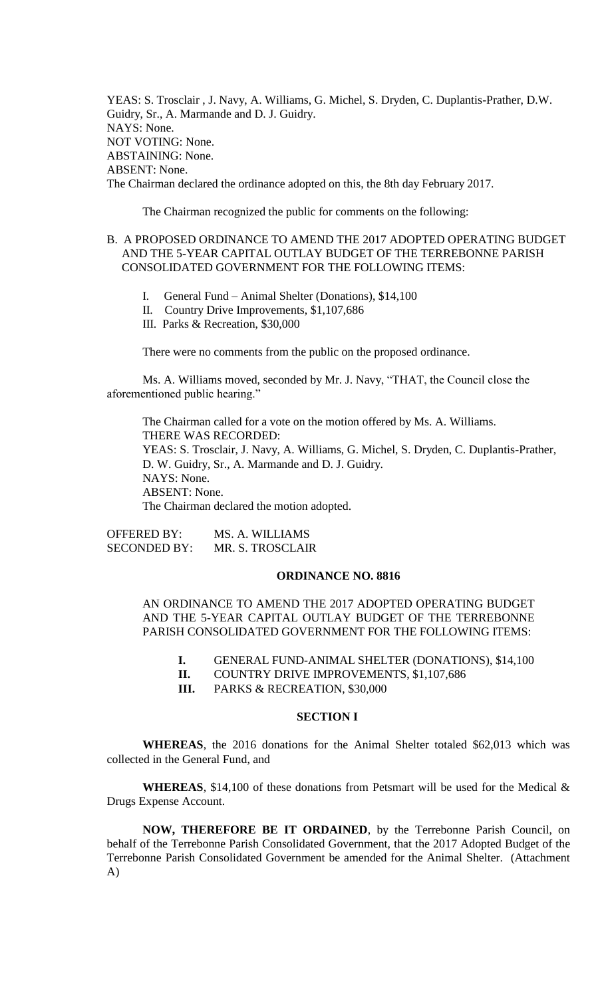YEAS: S. Trosclair , J. Navy, A. Williams, G. Michel, S. Dryden, C. Duplantis-Prather, D.W. Guidry, Sr., A. Marmande and D. J. Guidry. NAYS: None. NOT VOTING: None. ABSTAINING: None. ABSENT: None. The Chairman declared the ordinance adopted on this, the 8th day February 2017.

The Chairman recognized the public for comments on the following:

# B. A PROPOSED ORDINANCE TO AMEND THE 2017 ADOPTED OPERATING BUDGET AND THE 5-YEAR CAPITAL OUTLAY BUDGET OF THE TERREBONNE PARISH CONSOLIDATED GOVERNMENT FOR THE FOLLOWING ITEMS:

- I. General Fund Animal Shelter (Donations), \$14,100
- II. Country Drive Improvements, \$1,107,686
- III. Parks & Recreation, \$30,000

There were no comments from the public on the proposed ordinance.

Ms. A. Williams moved, seconded by Mr. J. Navy, "THAT, the Council close the aforementioned public hearing."

The Chairman called for a vote on the motion offered by Ms. A. Williams. THERE WAS RECORDED: YEAS: S. Trosclair, J. Navy, A. Williams, G. Michel, S. Dryden, C. Duplantis-Prather, D. W. Guidry, Sr., A. Marmande and D. J. Guidry. NAYS: None. ABSENT: None. The Chairman declared the motion adopted.

OFFERED BY: MS. A. WILLIAMS SECONDED BY: MR. S. TROSCLAIR

## **ORDINANCE NO. 8816**

AN ORDINANCE TO AMEND THE 2017 ADOPTED OPERATING BUDGET AND THE 5-YEAR CAPITAL OUTLAY BUDGET OF THE TERREBONNE PARISH CONSOLIDATED GOVERNMENT FOR THE FOLLOWING ITEMS:

- **I.** GENERAL FUND-ANIMAL SHELTER (DONATIONS), \$14,100
- **II.** COUNTRY DRIVE IMPROVEMENTS, \$1,107,686
- **III.** PARKS & RECREATION, \$30,000

## **SECTION I**

**WHEREAS**, the 2016 donations for the Animal Shelter totaled \$62,013 which was collected in the General Fund, and

**WHEREAS**, \$14,100 of these donations from Petsmart will be used for the Medical & Drugs Expense Account.

**NOW, THEREFORE BE IT ORDAINED**, by the Terrebonne Parish Council, on behalf of the Terrebonne Parish Consolidated Government, that the 2017 Adopted Budget of the Terrebonne Parish Consolidated Government be amended for the Animal Shelter. (Attachment A)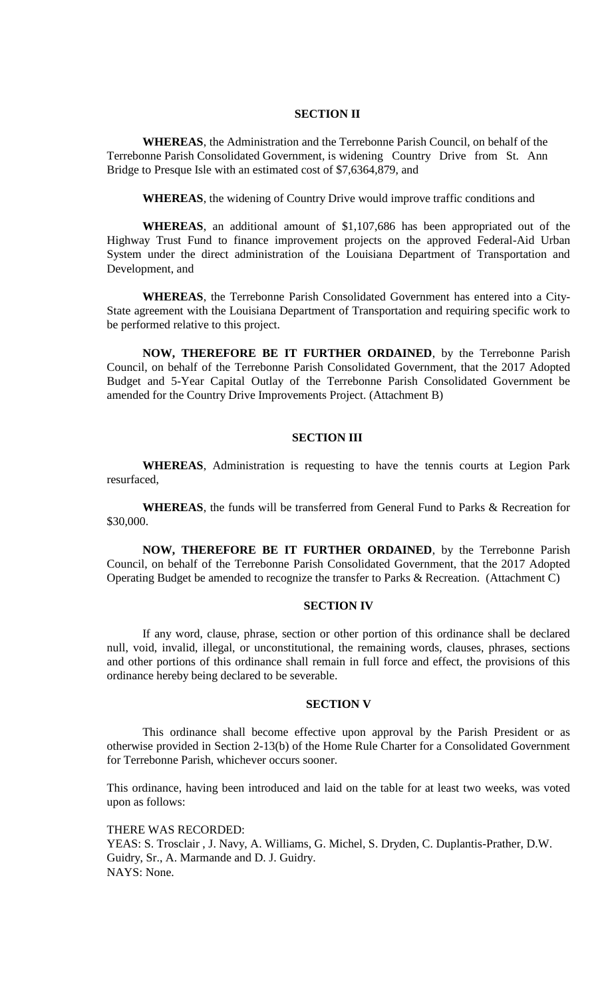## **SECTION II**

**WHEREAS**, the Administration and the Terrebonne Parish Council, on behalf of the Terrebonne Parish Consolidated Government, is widening Country Drive from St. Ann Bridge to Presque Isle with an estimated cost of \$7,6364,879, and

**WHEREAS**, the widening of Country Drive would improve traffic conditions and

**WHEREAS**, an additional amount of \$1,107,686 has been appropriated out of the Highway Trust Fund to finance improvement projects on the approved Federal-Aid Urban System under the direct administration of the Louisiana Department of Transportation and Development, and

**WHEREAS**, the Terrebonne Parish Consolidated Government has entered into a City-State agreement with the Louisiana Department of Transportation and requiring specific work to be performed relative to this project.

**NOW, THEREFORE BE IT FURTHER ORDAINED**, by the Terrebonne Parish Council, on behalf of the Terrebonne Parish Consolidated Government, that the 2017 Adopted Budget and 5-Year Capital Outlay of the Terrebonne Parish Consolidated Government be amended for the Country Drive Improvements Project. (Attachment B)

## **SECTION III**

**WHEREAS**, Administration is requesting to have the tennis courts at Legion Park resurfaced,

**WHEREAS**, the funds will be transferred from General Fund to Parks & Recreation for \$30,000.

**NOW, THEREFORE BE IT FURTHER ORDAINED**, by the Terrebonne Parish Council, on behalf of the Terrebonne Parish Consolidated Government, that the 2017 Adopted Operating Budget be amended to recognize the transfer to Parks & Recreation. (Attachment C)

## **SECTION IV**

If any word, clause, phrase, section or other portion of this ordinance shall be declared null, void, invalid, illegal, or unconstitutional, the remaining words, clauses, phrases, sections and other portions of this ordinance shall remain in full force and effect, the provisions of this ordinance hereby being declared to be severable.

#### **SECTION V**

This ordinance shall become effective upon approval by the Parish President or as otherwise provided in Section 2-13(b) of the Home Rule Charter for a Consolidated Government for Terrebonne Parish, whichever occurs sooner.

This ordinance, having been introduced and laid on the table for at least two weeks, was voted upon as follows:

THERE WAS RECORDED: YEAS: S. Trosclair , J. Navy, A. Williams, G. Michel, S. Dryden, C. Duplantis-Prather, D.W. Guidry, Sr., A. Marmande and D. J. Guidry. NAYS: None.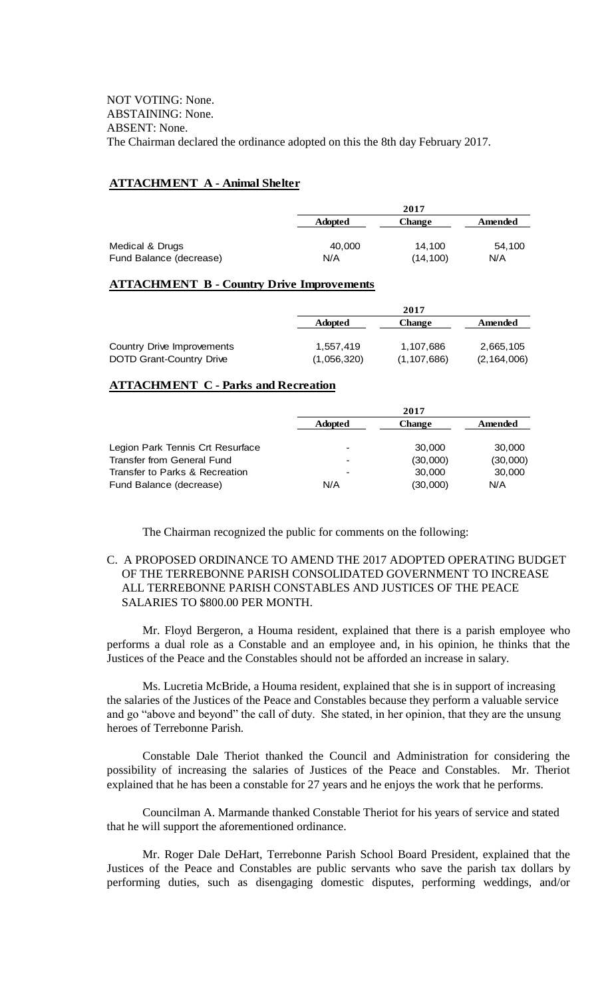# **ATTACHMENT A - Animal Shelter**

|                         |                | 2017          |         |
|-------------------------|----------------|---------------|---------|
|                         | <b>Adopted</b> | <b>Change</b> | Amended |
| Medical & Drugs         | 40,000         | 14.100        | 54.100  |
| Fund Balance (decrease) | N/A            | (14, 100)     | N/A     |

## **ATTACHMENT B - Country Drive Improvements**

|                                 |                | 2017          |               |
|---------------------------------|----------------|---------------|---------------|
|                                 | <b>Adopted</b> | Change        | Amended       |
|                                 |                |               |               |
| Country Drive Improvements      | 1,557,419      | 1,107,686     | 2,665,105     |
| <b>DOTD Grant-Country Drive</b> | (1,056,320)    | (1, 107, 686) | (2, 164, 006) |

## **ATTACHMENT C - Parks and Recreation**

|                                  | 2017                     |               |          |
|----------------------------------|--------------------------|---------------|----------|
|                                  | <b>Adopted</b>           | <b>Change</b> | Amended  |
| Legion Park Tennis Crt Resurface | $\overline{\phantom{a}}$ | 30,000        | 30,000   |
| Transfer from General Fund       | $\overline{\phantom{a}}$ | (30,000)      | (30,000) |
| Transfer to Parks & Recreation   | -                        | 30,000        | 30,000   |
| Fund Balance (decrease)          | N/A                      | (30,000)      | N/A      |

The Chairman recognized the public for comments on the following:

# C. A PROPOSED ORDINANCE TO AMEND THE 2017 ADOPTED OPERATING BUDGET OF THE TERREBONNE PARISH CONSOLIDATED GOVERNMENT TO INCREASE ALL TERREBONNE PARISH CONSTABLES AND JUSTICES OF THE PEACE SALARIES TO \$800.00 PER MONTH.

Mr. Floyd Bergeron, a Houma resident, explained that there is a parish employee who performs a dual role as a Constable and an employee and, in his opinion, he thinks that the Justices of the Peace and the Constables should not be afforded an increase in salary.

Ms. Lucretia McBride, a Houma resident, explained that she is in support of increasing the salaries of the Justices of the Peace and Constables because they perform a valuable service and go "above and beyond" the call of duty. She stated, in her opinion, that they are the unsung heroes of Terrebonne Parish.

Constable Dale Theriot thanked the Council and Administration for considering the possibility of increasing the salaries of Justices of the Peace and Constables. Mr. Theriot explained that he has been a constable for 27 years and he enjoys the work that he performs.

Councilman A. Marmande thanked Constable Theriot for his years of service and stated that he will support the aforementioned ordinance.

Mr. Roger Dale DeHart, Terrebonne Parish School Board President, explained that the Justices of the Peace and Constables are public servants who save the parish tax dollars by performing duties, such as disengaging domestic disputes, performing weddings, and/or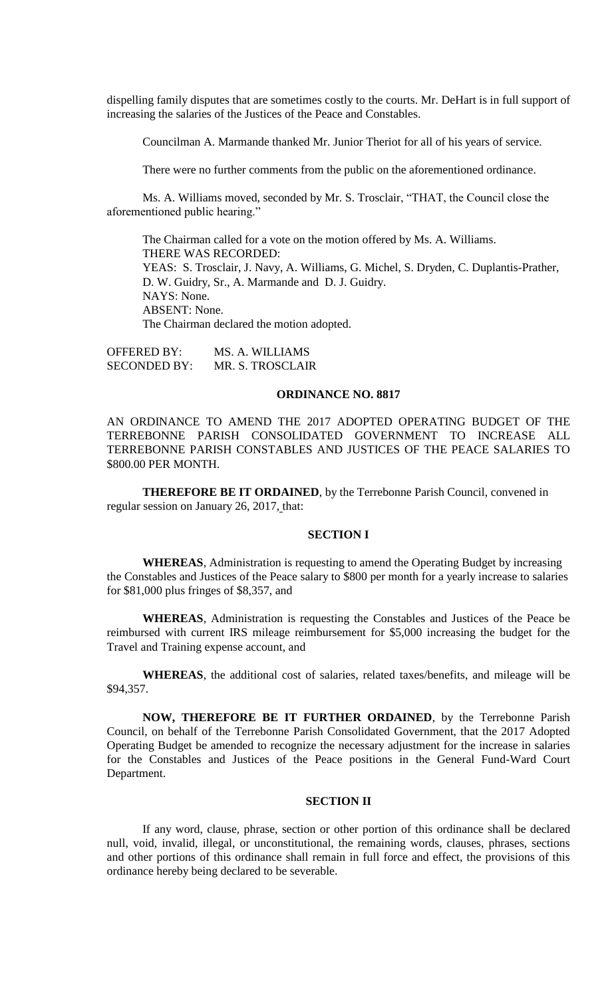dispelling family disputes that are sometimes costly to the courts. Mr. DeHart is in full support of increasing the salaries of the Justices of the Peace and Constables.

Councilman A. Marmande thanked Mr. Junior Theriot for all of his years of service.

There were no further comments from the public on the aforementioned ordinance.

Ms. A. Williams moved, seconded by Mr. S. Trosclair, "THAT, the Council close the aforementioned public hearing."

The Chairman called for a vote on the motion offered by Ms. A. Williams. THERE WAS RECORDED: YEAS: S. Trosclair, J. Navy, A. Williams, G. Michel, S. Dryden, C. Duplantis-Prather, D. W. Guidry, Sr., A. Marmande and D. J. Guidry. NAYS: None. ABSENT: None. The Chairman declared the motion adopted.

OFFERED BY: MS. A. WILLIAMS SECONDED BY: MR. S. TROSCLAIR

## **ORDINANCE NO. 8817**

AN ORDINANCE TO AMEND THE 2017 ADOPTED OPERATING BUDGET OF THE TERREBONNE PARISH CONSOLIDATED GOVERNMENT TO INCREASE ALL TERREBONNE PARISH CONSTABLES AND JUSTICES OF THE PEACE SALARIES TO \$800.00 PER MONTH.

**THEREFORE BE IT ORDAINED**, by the Terrebonne Parish Council, convened in regular session on January 26, 2017, that:

## **SECTION I**

**WHEREAS**, Administration is requesting to amend the Operating Budget by increasing the Constables and Justices of the Peace salary to \$800 per month for a yearly increase to salaries for \$81,000 plus fringes of \$8,357, and

**WHEREAS**, Administration is requesting the Constables and Justices of the Peace be reimbursed with current IRS mileage reimbursement for \$5,000 increasing the budget for the Travel and Training expense account, and

**WHEREAS**, the additional cost of salaries, related taxes/benefits, and mileage will be \$94,357.

**NOW, THEREFORE BE IT FURTHER ORDAINED**, by the Terrebonne Parish Council, on behalf of the Terrebonne Parish Consolidated Government, that the 2017 Adopted Operating Budget be amended to recognize the necessary adjustment for the increase in salaries for the Constables and Justices of the Peace positions in the General Fund-Ward Court Department.

# **SECTION II**

If any word, clause, phrase, section or other portion of this ordinance shall be declared null, void, invalid, illegal, or unconstitutional, the remaining words, clauses, phrases, sections and other portions of this ordinance shall remain in full force and effect, the provisions of this ordinance hereby being declared to be severable.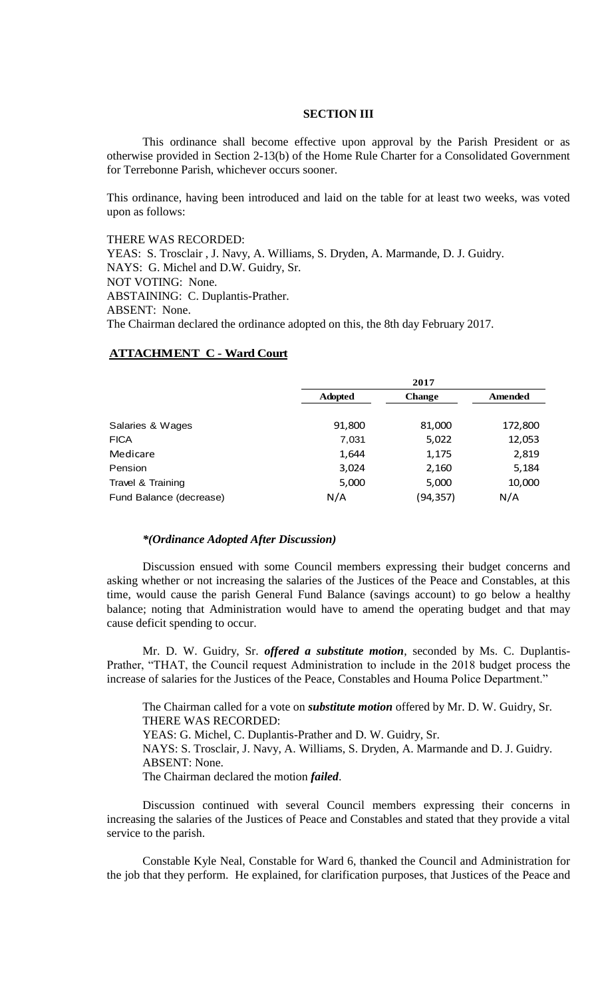## **SECTION III**

This ordinance shall become effective upon approval by the Parish President or as otherwise provided in Section 2-13(b) of the Home Rule Charter for a Consolidated Government for Terrebonne Parish, whichever occurs sooner.

This ordinance, having been introduced and laid on the table for at least two weeks, was voted upon as follows:

THERE WAS RECORDED: YEAS: S. Trosclair , J. Navy, A. Williams, S. Dryden, A. Marmande, D. J. Guidry. NAYS: G. Michel and D.W. Guidry, Sr. NOT VOTING: None. ABSTAINING: C. Duplantis-Prather. ABSENT: None. The Chairman declared the ordinance adopted on this, the 8th day February 2017.

## **ATTACHMENT C - Ward Court**

|                         |                | 2017          |         |
|-------------------------|----------------|---------------|---------|
|                         | <b>Adopted</b> | <b>Change</b> | Amended |
| Salaries & Wages        | 91,800         | 81,000        | 172,800 |
| <b>FICA</b>             | 7,031          | 5,022         | 12,053  |
| Medicare                | 1,644          | 1,175         | 2,819   |
| Pension                 | 3,024          | 2,160         | 5,184   |
| Travel & Training       | 5,000          | 5,000         | 10,000  |
| Fund Balance (decrease) | N/A            | (94,357)      | N/A     |

#### *\*(Ordinance Adopted After Discussion)*

Discussion ensued with some Council members expressing their budget concerns and asking whether or not increasing the salaries of the Justices of the Peace and Constables, at this time, would cause the parish General Fund Balance (savings account) to go below a healthy balance; noting that Administration would have to amend the operating budget and that may cause deficit spending to occur.

Mr. D. W. Guidry, Sr. *offered a substitute motion*, seconded by Ms. C. Duplantis-Prather, "THAT, the Council request Administration to include in the 2018 budget process the increase of salaries for the Justices of the Peace, Constables and Houma Police Department."

The Chairman called for a vote on *substitute motion* offered by Mr. D. W. Guidry, Sr. THERE WAS RECORDED: YEAS: G. Michel, C. Duplantis-Prather and D. W. Guidry, Sr. NAYS: S. Trosclair, J. Navy, A. Williams, S. Dryden, A. Marmande and D. J. Guidry. ABSENT: None. The Chairman declared the motion *failed*.

Discussion continued with several Council members expressing their concerns in increasing the salaries of the Justices of Peace and Constables and stated that they provide a vital service to the parish.

Constable Kyle Neal, Constable for Ward 6, thanked the Council and Administration for the job that they perform. He explained, for clarification purposes, that Justices of the Peace and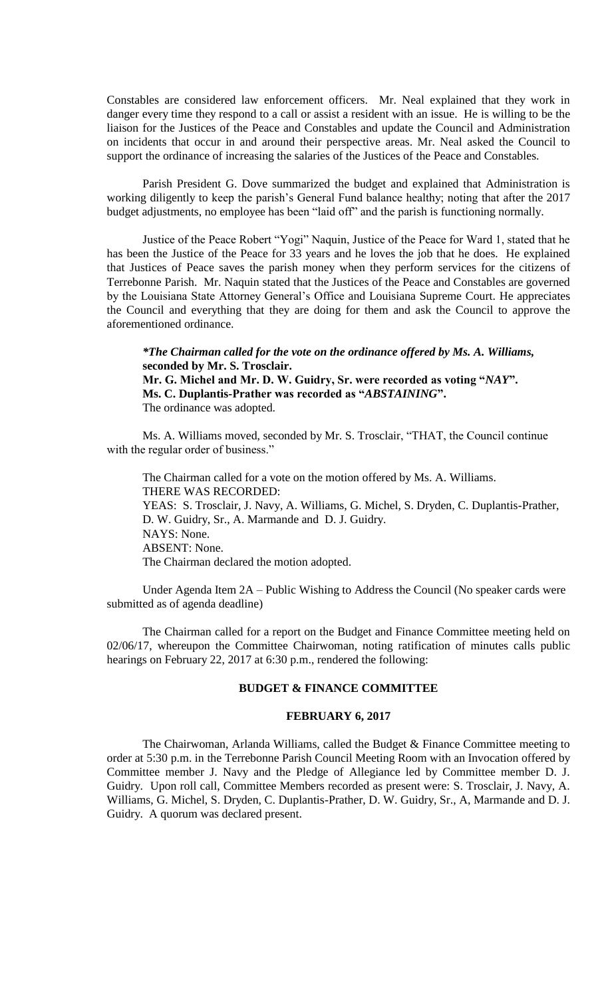Constables are considered law enforcement officers. Mr. Neal explained that they work in danger every time they respond to a call or assist a resident with an issue. He is willing to be the liaison for the Justices of the Peace and Constables and update the Council and Administration on incidents that occur in and around their perspective areas. Mr. Neal asked the Council to support the ordinance of increasing the salaries of the Justices of the Peace and Constables.

Parish President G. Dove summarized the budget and explained that Administration is working diligently to keep the parish's General Fund balance healthy; noting that after the 2017 budget adjustments, no employee has been "laid off" and the parish is functioning normally.

Justice of the Peace Robert "Yogi" Naquin, Justice of the Peace for Ward 1, stated that he has been the Justice of the Peace for 33 years and he loves the job that he does. He explained that Justices of Peace saves the parish money when they perform services for the citizens of Terrebonne Parish. Mr. Naquin stated that the Justices of the Peace and Constables are governed by the Louisiana State Attorney General's Office and Louisiana Supreme Court. He appreciates the Council and everything that they are doing for them and ask the Council to approve the aforementioned ordinance.

*\*The Chairman called for the vote on the ordinance offered by Ms. A. Williams,*  **seconded by Mr. S. Trosclair. Mr. G. Michel and Mr. D. W. Guidry, Sr. were recorded as voting "***NAY***". Ms. C. Duplantis-Prather was recorded as "***ABSTAINING***".** The ordinance was adopted.

Ms. A. Williams moved, seconded by Mr. S. Trosclair, "THAT, the Council continue with the regular order of business."

The Chairman called for a vote on the motion offered by Ms. A. Williams. THERE WAS RECORDED: YEAS: S. Trosclair, J. Navy, A. Williams, G. Michel, S. Dryden, C. Duplantis-Prather, D. W. Guidry, Sr., A. Marmande and D. J. Guidry. NAYS: None. ABSENT: None. The Chairman declared the motion adopted.

Under Agenda Item 2A – Public Wishing to Address the Council (No speaker cards were submitted as of agenda deadline)

The Chairman called for a report on the Budget and Finance Committee meeting held on 02/06/17, whereupon the Committee Chairwoman, noting ratification of minutes calls public hearings on February 22, 2017 at 6:30 p.m., rendered the following:

## **BUDGET & FINANCE COMMITTEE**

## **FEBRUARY 6, 2017**

The Chairwoman, Arlanda Williams, called the Budget & Finance Committee meeting to order at 5:30 p.m. in the Terrebonne Parish Council Meeting Room with an Invocation offered by Committee member J. Navy and the Pledge of Allegiance led by Committee member D. J. Guidry. Upon roll call, Committee Members recorded as present were: S. Trosclair, J. Navy, A. Williams, G. Michel, S. Dryden, C. Duplantis-Prather, D. W. Guidry, Sr., A, Marmande and D. J. Guidry. A quorum was declared present.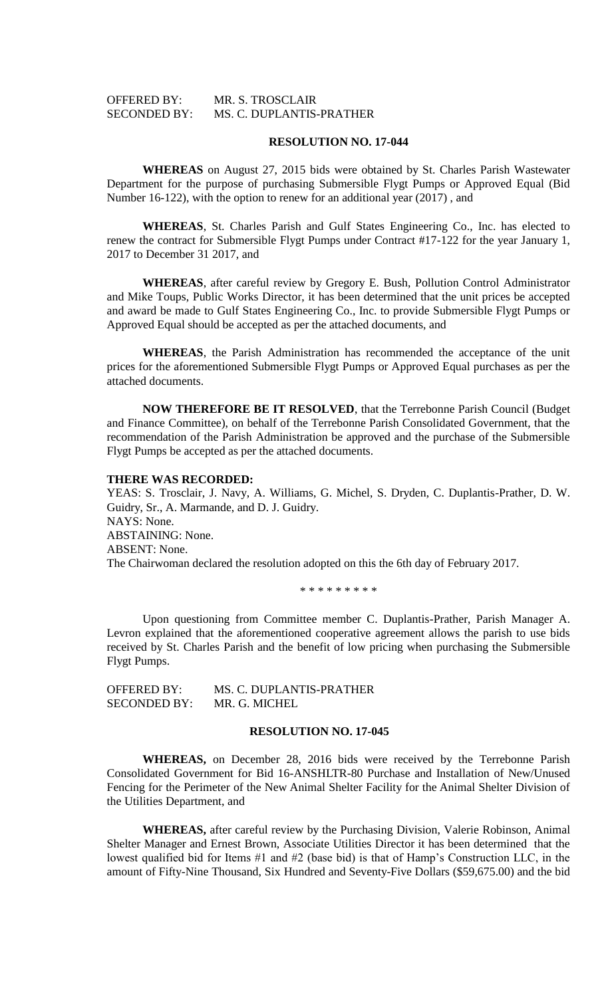## OFFERED BY: MR. S. TROSCLAIR SECONDED BY: MS. C. DUPLANTIS-PRATHER

### **RESOLUTION NO. 17-044**

**WHEREAS** on August 27, 2015 bids were obtained by St. Charles Parish Wastewater Department for the purpose of purchasing Submersible Flygt Pumps or Approved Equal (Bid Number 16-122), with the option to renew for an additional year (2017) , and

**WHEREAS**, St. Charles Parish and Gulf States Engineering Co., Inc. has elected to renew the contract for Submersible Flygt Pumps under Contract #17-122 for the year January 1, 2017 to December 31 2017, and

**WHEREAS**, after careful review by Gregory E. Bush, Pollution Control Administrator and Mike Toups, Public Works Director, it has been determined that the unit prices be accepted and award be made to Gulf States Engineering Co., Inc. to provide Submersible Flygt Pumps or Approved Equal should be accepted as per the attached documents, and

**WHEREAS**, the Parish Administration has recommended the acceptance of the unit prices for the aforementioned Submersible Flygt Pumps or Approved Equal purchases as per the attached documents.

**NOW THEREFORE BE IT RESOLVED**, that the Terrebonne Parish Council (Budget and Finance Committee), on behalf of the Terrebonne Parish Consolidated Government, that the recommendation of the Parish Administration be approved and the purchase of the Submersible Flygt Pumps be accepted as per the attached documents.

### **THERE WAS RECORDED:**

YEAS: S. Trosclair, J. Navy, A. Williams, G. Michel, S. Dryden, C. Duplantis-Prather, D. W. Guidry, Sr., A. Marmande, and D. J. Guidry. NAYS: None. ABSTAINING: None. ABSENT: None. The Chairwoman declared the resolution adopted on this the 6th day of February 2017.

\* \* \* \* \* \* \* \* \*

Upon questioning from Committee member C. Duplantis-Prather, Parish Manager A. Levron explained that the aforementioned cooperative agreement allows the parish to use bids received by St. Charles Parish and the benefit of low pricing when purchasing the Submersible Flygt Pumps.

| OFFERED BY:         | MS. C. DUPLANTIS-PRATHER |
|---------------------|--------------------------|
| <b>SECONDED BY:</b> | MR. G. MICHEL            |

## **RESOLUTION NO. 17-045**

**WHEREAS,** on December 28, 2016 bids were received by the Terrebonne Parish Consolidated Government for Bid 16-ANSHLTR-80 Purchase and Installation of New/Unused Fencing for the Perimeter of the New Animal Shelter Facility for the Animal Shelter Division of the Utilities Department, and

**WHEREAS,** after careful review by the Purchasing Division, Valerie Robinson, Animal Shelter Manager and Ernest Brown, Associate Utilities Director it has been determined that the lowest qualified bid for Items #1 and #2 (base bid) is that of Hamp's Construction LLC, in the amount of Fifty-Nine Thousand, Six Hundred and Seventy-Five Dollars (\$59,675.00) and the bid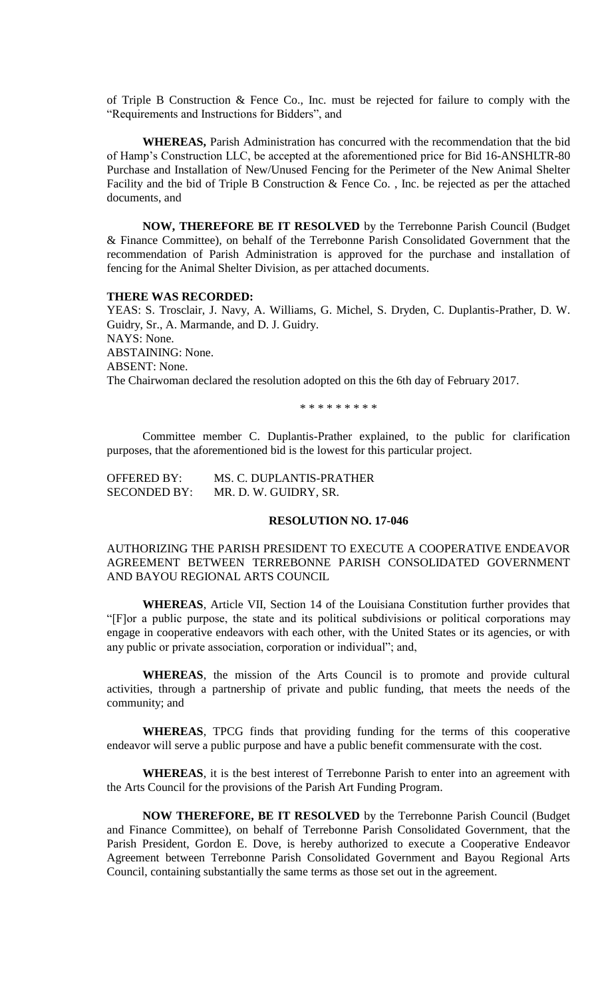of Triple B Construction & Fence Co., Inc. must be rejected for failure to comply with the "Requirements and Instructions for Bidders", and

**WHEREAS,** Parish Administration has concurred with the recommendation that the bid of Hamp's Construction LLC, be accepted at the aforementioned price for Bid 16-ANSHLTR-80 Purchase and Installation of New/Unused Fencing for the Perimeter of the New Animal Shelter Facility and the bid of Triple B Construction & Fence Co. , Inc. be rejected as per the attached documents, and

**NOW, THEREFORE BE IT RESOLVED** by the Terrebonne Parish Council (Budget & Finance Committee), on behalf of the Terrebonne Parish Consolidated Government that the recommendation of Parish Administration is approved for the purchase and installation of fencing for the Animal Shelter Division, as per attached documents.

## **THERE WAS RECORDED:**

YEAS: S. Trosclair, J. Navy, A. Williams, G. Michel, S. Dryden, C. Duplantis-Prather, D. W. Guidry, Sr., A. Marmande, and D. J. Guidry. NAYS: None. ABSTAINING: None. ABSENT: None. The Chairwoman declared the resolution adopted on this the 6th day of February 2017.

\* \* \* \* \* \* \* \* \*

Committee member C. Duplantis-Prather explained, to the public for clarification purposes, that the aforementioned bid is the lowest for this particular project.

| <b>OFFERED BY:</b>  | MS. C. DUPLANTIS-PRATHER |
|---------------------|--------------------------|
| <b>SECONDED BY:</b> | MR. D. W. GUIDRY, SR.    |

## **RESOLUTION NO. 17-046**

# AUTHORIZING THE PARISH PRESIDENT TO EXECUTE A COOPERATIVE ENDEAVOR AGREEMENT BETWEEN TERREBONNE PARISH CONSOLIDATED GOVERNMENT AND BAYOU REGIONAL ARTS COUNCIL

**WHEREAS**, Article VII, Section 14 of the Louisiana Constitution further provides that "[F]or a public purpose, the state and its political subdivisions or political corporations may engage in cooperative endeavors with each other, with the United States or its agencies, or with any public or private association, corporation or individual"; and,

**WHEREAS**, the mission of the Arts Council is to promote and provide cultural activities, through a partnership of private and public funding, that meets the needs of the community; and

**WHEREAS**, TPCG finds that providing funding for the terms of this cooperative endeavor will serve a public purpose and have a public benefit commensurate with the cost.

**WHEREAS**, it is the best interest of Terrebonne Parish to enter into an agreement with the Arts Council for the provisions of the Parish Art Funding Program.

**NOW THEREFORE, BE IT RESOLVED** by the Terrebonne Parish Council (Budget and Finance Committee), on behalf of Terrebonne Parish Consolidated Government, that the Parish President, Gordon E. Dove, is hereby authorized to execute a Cooperative Endeavor Agreement between Terrebonne Parish Consolidated Government and Bayou Regional Arts Council, containing substantially the same terms as those set out in the agreement.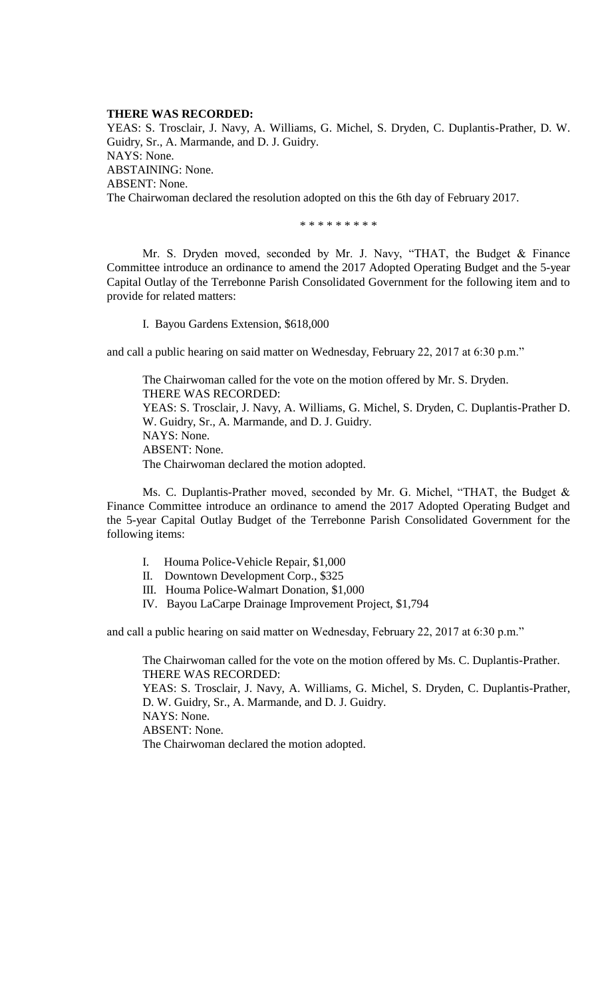## **THERE WAS RECORDED:**

YEAS: S. Trosclair, J. Navy, A. Williams, G. Michel, S. Dryden, C. Duplantis-Prather, D. W. Guidry, Sr., A. Marmande, and D. J. Guidry. NAYS: None. ABSTAINING: None. ABSENT: None. The Chairwoman declared the resolution adopted on this the 6th day of February 2017.

\* \* \* \* \* \* \* \* \*

Mr. S. Dryden moved, seconded by Mr. J. Navy, "THAT, the Budget & Finance Committee introduce an ordinance to amend the 2017 Adopted Operating Budget and the 5-year Capital Outlay of the Terrebonne Parish Consolidated Government for the following item and to provide for related matters:

I. Bayou Gardens Extension, \$618,000

and call a public hearing on said matter on Wednesday, February 22, 2017 at 6:30 p.m."

The Chairwoman called for the vote on the motion offered by Mr. S. Dryden. THERE WAS RECORDED: YEAS: S. Trosclair, J. Navy, A. Williams, G. Michel, S. Dryden, C. Duplantis-Prather D. W. Guidry, Sr., A. Marmande, and D. J. Guidry. NAYS: None. ABSENT: None. The Chairwoman declared the motion adopted.

Ms. C. Duplantis-Prather moved, seconded by Mr. G. Michel, "THAT, the Budget & Finance Committee introduce an ordinance to amend the 2017 Adopted Operating Budget and the 5-year Capital Outlay Budget of the Terrebonne Parish Consolidated Government for the following items:

- I. Houma Police-Vehicle Repair, \$1,000
- II. Downtown Development Corp., \$325
- III. Houma Police-Walmart Donation, \$1,000
- IV. Bayou LaCarpe Drainage Improvement Project, \$1,794

and call a public hearing on said matter on Wednesday, February 22, 2017 at 6:30 p.m."

The Chairwoman called for the vote on the motion offered by Ms. C. Duplantis-Prather. THERE WAS RECORDED: YEAS: S. Trosclair, J. Navy, A. Williams, G. Michel, S. Dryden, C. Duplantis-Prather, D. W. Guidry, Sr., A. Marmande, and D. J. Guidry. NAYS: None. ABSENT: None. The Chairwoman declared the motion adopted.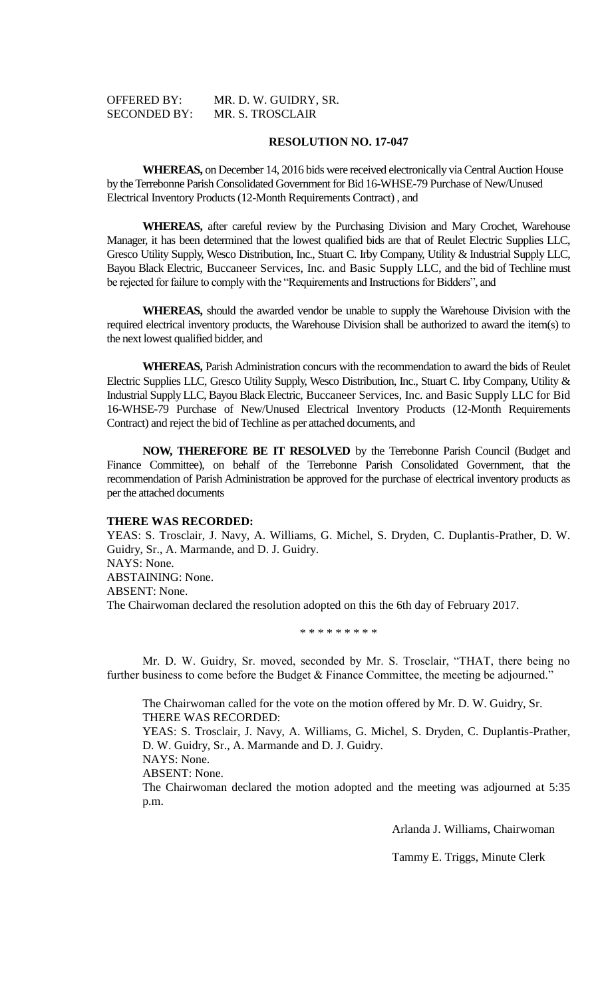| <b>OFFERED BY:</b>  | MR. D. W. GUIDRY, SR. |
|---------------------|-----------------------|
| <b>SECONDED BY:</b> | MR. S. TROSCLAIR      |

**WHEREAS,** on December 14, 2016 bids were received electronically via Central Auction House by the Terrebonne Parish Consolidated Government for Bid 16-WHSE-79 Purchase of New/Unused Electrical Inventory Products (12-Month Requirements Contract) , and

**WHEREAS,** after careful review by the Purchasing Division and Mary Crochet, Warehouse Manager, it has been determined that the lowest qualified bids are that of Reulet Electric Supplies LLC, Gresco Utility Supply, Wesco Distribution, Inc., Stuart C. Irby Company, Utility & Industrial Supply LLC, Bayou Black Electric, Buccaneer Services, Inc. and Basic Supply LLC, and the bid of Techline must be rejected for failure to comply with the "Requirements and Instructions for Bidders", and

**WHEREAS,** should the awarded vendor be unable to supply the Warehouse Division with the required electrical inventory products, the Warehouse Division shall be authorized to award the item(s) to the next lowest qualified bidder, and

**WHEREAS,** Parish Administration concurs with the recommendation to award the bids of Reulet Electric Supplies LLC, Gresco Utility Supply, Wesco Distribution, Inc., Stuart C. Irby Company, Utility & Industrial Supply LLC, Bayou Black Electric, Buccaneer Services, Inc. and Basic Supply LLC for Bid 16-WHSE-79 Purchase of New/Unused Electrical Inventory Products (12-Month Requirements Contract) and reject the bid of Techline as per attached documents, and

**NOW, THEREFORE BE IT RESOLVED** by the Terrebonne Parish Council (Budget and Finance Committee), on behalf of the Terrebonne Parish Consolidated Government, that the recommendation of Parish Administration be approved for the purchase of electrical inventory products as per the attached documents

#### **THERE WAS RECORDED:**

YEAS: S. Trosclair, J. Navy, A. Williams, G. Michel, S. Dryden, C. Duplantis-Prather, D. W. Guidry, Sr., A. Marmande, and D. J. Guidry. NAYS: None. ABSTAINING: None. ABSENT: None. The Chairwoman declared the resolution adopted on this the 6th day of February 2017.

## \* \* \* \* \* \* \* \* \*

Mr. D. W. Guidry, Sr. moved, seconded by Mr. S. Trosclair, "THAT, there being no further business to come before the Budget & Finance Committee, the meeting be adjourned."

The Chairwoman called for the vote on the motion offered by Mr. D. W. Guidry, Sr. THERE WAS RECORDED: YEAS: S. Trosclair, J. Navy, A. Williams, G. Michel, S. Dryden, C. Duplantis-Prather, D. W. Guidry, Sr., A. Marmande and D. J. Guidry. NAYS: None. ABSENT: None. The Chairwoman declared the motion adopted and the meeting was adjourned at 5:35 p.m.

Arlanda J. Williams, Chairwoman

Tammy E. Triggs, Minute Clerk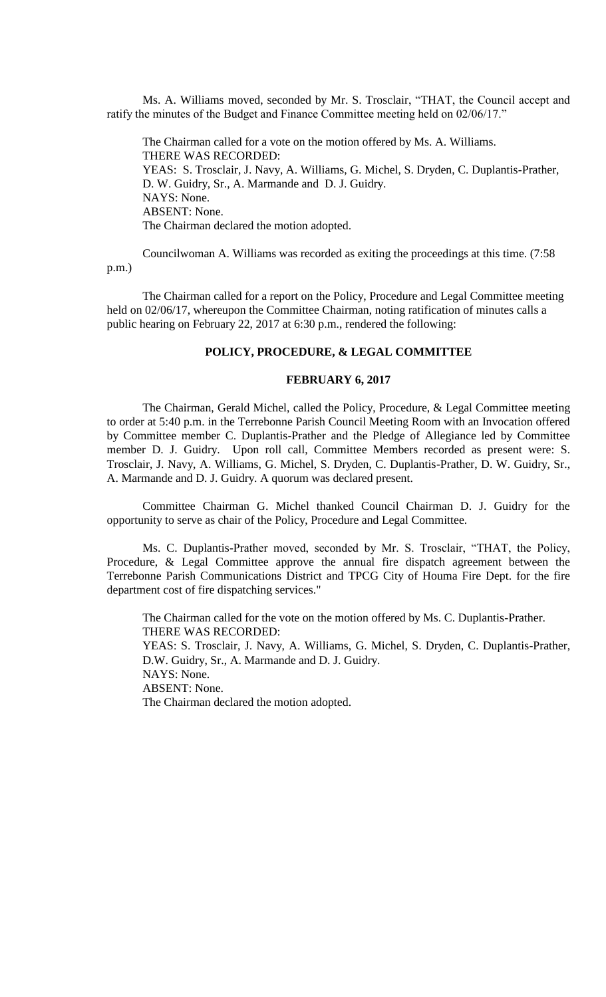Ms. A. Williams moved, seconded by Mr. S. Trosclair, "THAT, the Council accept and ratify the minutes of the Budget and Finance Committee meeting held on 02/06/17."

The Chairman called for a vote on the motion offered by Ms. A. Williams. THERE WAS RECORDED: YEAS: S. Trosclair, J. Navy, A. Williams, G. Michel, S. Dryden, C. Duplantis-Prather, D. W. Guidry, Sr., A. Marmande and D. J. Guidry. NAYS: None. ABSENT: None. The Chairman declared the motion adopted.

Councilwoman A. Williams was recorded as exiting the proceedings at this time. (7:58 p.m.)

The Chairman called for a report on the Policy, Procedure and Legal Committee meeting held on 02/06/17, whereupon the Committee Chairman, noting ratification of minutes calls a public hearing on February 22, 2017 at 6:30 p.m., rendered the following:

#### **POLICY, PROCEDURE, & LEGAL COMMITTEE**

## **FEBRUARY 6, 2017**

The Chairman, Gerald Michel, called the Policy, Procedure, & Legal Committee meeting to order at 5:40 p.m. in the Terrebonne Parish Council Meeting Room with an Invocation offered by Committee member C. Duplantis-Prather and the Pledge of Allegiance led by Committee member D. J. Guidry. Upon roll call, Committee Members recorded as present were: S. Trosclair, J. Navy, A. Williams, G. Michel, S. Dryden, C. Duplantis-Prather, D. W. Guidry, Sr., A. Marmande and D. J. Guidry. A quorum was declared present.

Committee Chairman G. Michel thanked Council Chairman D. J. Guidry for the opportunity to serve as chair of the Policy, Procedure and Legal Committee.

Ms. C. Duplantis-Prather moved, seconded by Mr. S. Trosclair, "THAT, the Policy, Procedure, & Legal Committee approve the annual fire dispatch agreement between the Terrebonne Parish Communications District and TPCG City of Houma Fire Dept. for the fire department cost of fire dispatching services."

The Chairman called for the vote on the motion offered by Ms. C. Duplantis-Prather. THERE WAS RECORDED: YEAS: S. Trosclair, J. Navy, A. Williams, G. Michel, S. Dryden, C. Duplantis-Prather, D.W. Guidry, Sr., A. Marmande and D. J. Guidry. NAYS: None. ABSENT: None.

The Chairman declared the motion adopted.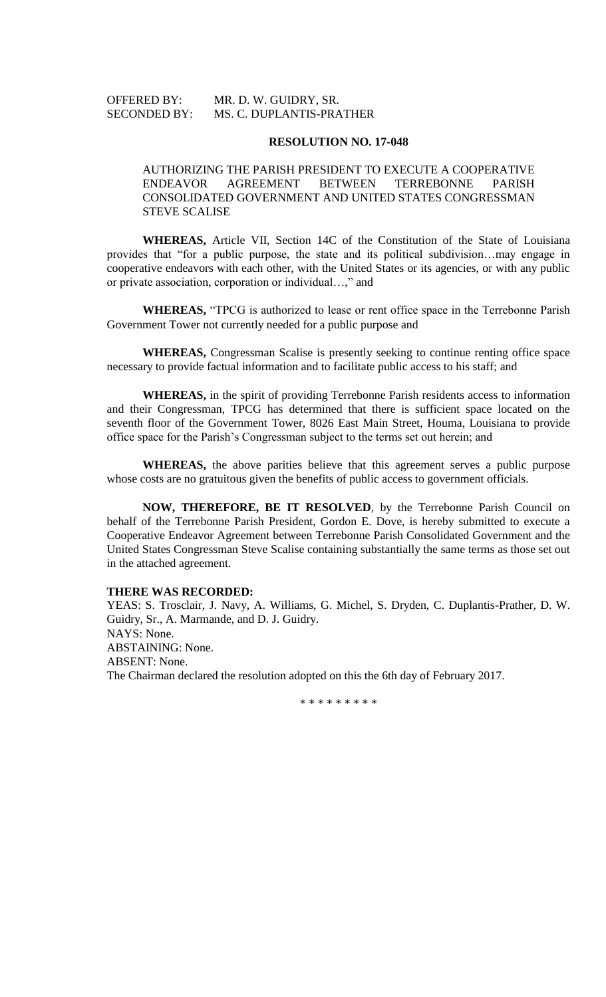# OFFERED BY: MR. D. W. GUIDRY, SR. SECONDED BY: MS. C. DUPLANTIS-PRATHER

### **RESOLUTION NO. 17-048**

# AUTHORIZING THE PARISH PRESIDENT TO EXECUTE A COOPERATIVE ENDEAVOR AGREEMENT BETWEEN TERREBONNE PARISH CONSOLIDATED GOVERNMENT AND UNITED STATES CONGRESSMAN STEVE SCALISE

**WHEREAS,** Article VII, Section 14C of the Constitution of the State of Louisiana provides that "for a public purpose, the state and its political subdivision…may engage in cooperative endeavors with each other, with the United States or its agencies, or with any public or private association, corporation or individual…," and

**WHEREAS,** "TPCG is authorized to lease or rent office space in the Terrebonne Parish Government Tower not currently needed for a public purpose and

**WHEREAS,** Congressman Scalise is presently seeking to continue renting office space necessary to provide factual information and to facilitate public access to his staff; and

**WHEREAS,** in the spirit of providing Terrebonne Parish residents access to information and their Congressman, TPCG has determined that there is sufficient space located on the seventh floor of the Government Tower, 8026 East Main Street, Houma, Louisiana to provide office space for the Parish's Congressman subject to the terms set out herein; and

**WHEREAS,** the above parities believe that this agreement serves a public purpose whose costs are no gratuitous given the benefits of public access to government officials.

**NOW, THEREFORE, BE IT RESOLVED**, by the Terrebonne Parish Council on behalf of the Terrebonne Parish President, Gordon E. Dove, is hereby submitted to execute a Cooperative Endeavor Agreement between Terrebonne Parish Consolidated Government and the United States Congressman Steve Scalise containing substantially the same terms as those set out in the attached agreement.

## **THERE WAS RECORDED:**

YEAS: S. Trosclair, J. Navy, A. Williams, G. Michel, S. Dryden, C. Duplantis-Prather, D. W. Guidry, Sr., A. Marmande, and D. J. Guidry. NAYS: None. ABSTAINING: None. ABSENT: None. The Chairman declared the resolution adopted on this the 6th day of February 2017.

\* \* \* \* \* \* \* \* \*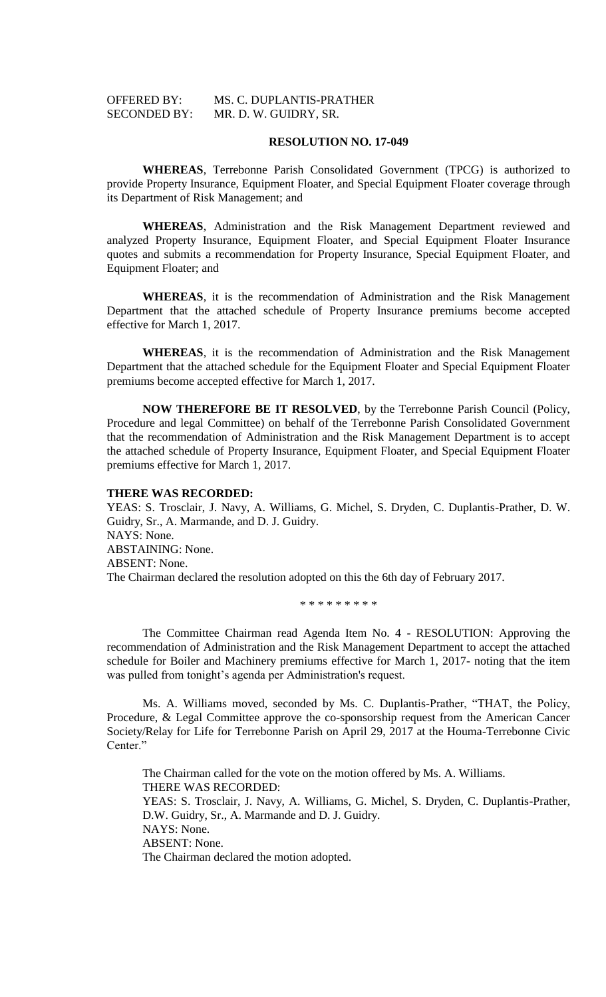# OFFERED BY: MS. C. DUPLANTIS-PRATHER SECONDED BY: MR. D. W. GUIDRY, SR.

### **RESOLUTION NO. 17-049**

**WHEREAS**, Terrebonne Parish Consolidated Government (TPCG) is authorized to provide Property Insurance, Equipment Floater, and Special Equipment Floater coverage through its Department of Risk Management; and

**WHEREAS**, Administration and the Risk Management Department reviewed and analyzed Property Insurance, Equipment Floater, and Special Equipment Floater Insurance quotes and submits a recommendation for Property Insurance, Special Equipment Floater, and Equipment Floater; and

**WHEREAS**, it is the recommendation of Administration and the Risk Management Department that the attached schedule of Property Insurance premiums become accepted effective for March 1, 2017.

**WHEREAS**, it is the recommendation of Administration and the Risk Management Department that the attached schedule for the Equipment Floater and Special Equipment Floater premiums become accepted effective for March 1, 2017.

**NOW THEREFORE BE IT RESOLVED**, by the Terrebonne Parish Council (Policy, Procedure and legal Committee) on behalf of the Terrebonne Parish Consolidated Government that the recommendation of Administration and the Risk Management Department is to accept the attached schedule of Property Insurance, Equipment Floater, and Special Equipment Floater premiums effective for March 1, 2017.

### **THERE WAS RECORDED:**

YEAS: S. Trosclair, J. Navy, A. Williams, G. Michel, S. Dryden, C. Duplantis-Prather, D. W. Guidry, Sr., A. Marmande, and D. J. Guidry. NAYS: None. ABSTAINING: None. ABSENT: None. The Chairman declared the resolution adopted on this the 6th day of February 2017.

\* \* \* \* \* \* \* \* \*

The Committee Chairman read Agenda Item No. 4 - RESOLUTION: Approving the recommendation of Administration and the Risk Management Department to accept the attached schedule for Boiler and Machinery premiums effective for March 1, 2017- noting that the item was pulled from tonight's agenda per Administration's request.

Ms. A. Williams moved, seconded by Ms. C. Duplantis-Prather, "THAT, the Policy, Procedure, & Legal Committee approve the co-sponsorship request from the American Cancer Society/Relay for Life for Terrebonne Parish on April 29, 2017 at the Houma-Terrebonne Civic Center."

The Chairman called for the vote on the motion offered by Ms. A. Williams. THERE WAS RECORDED: YEAS: S. Trosclair, J. Navy, A. Williams, G. Michel, S. Dryden, C. Duplantis-Prather, D.W. Guidry, Sr., A. Marmande and D. J. Guidry. NAYS: None. ABSENT: None. The Chairman declared the motion adopted.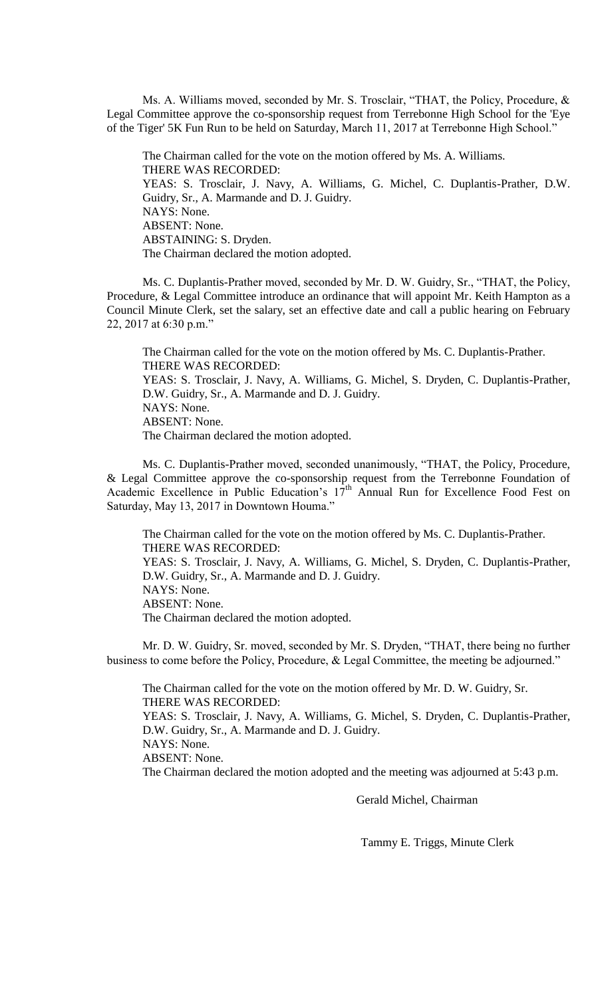Ms. A. Williams moved, seconded by Mr. S. Trosclair, "THAT, the Policy, Procedure, & Legal Committee approve the co-sponsorship request from Terrebonne High School for the 'Eye of the Tiger' 5K Fun Run to be held on Saturday, March 11, 2017 at Terrebonne High School."

The Chairman called for the vote on the motion offered by Ms. A. Williams. THERE WAS RECORDED: YEAS: S. Trosclair, J. Navy, A. Williams, G. Michel, C. Duplantis-Prather, D.W. Guidry, Sr., A. Marmande and D. J. Guidry. NAYS: None. ABSENT: None. ABSTAINING: S. Dryden. The Chairman declared the motion adopted.

Ms. C. Duplantis-Prather moved, seconded by Mr. D. W. Guidry, Sr., "THAT, the Policy, Procedure, & Legal Committee introduce an ordinance that will appoint Mr. Keith Hampton as a Council Minute Clerk, set the salary, set an effective date and call a public hearing on February 22, 2017 at 6:30 p.m."

The Chairman called for the vote on the motion offered by Ms. C. Duplantis-Prather. THERE WAS RECORDED: YEAS: S. Trosclair, J. Navy, A. Williams, G. Michel, S. Dryden, C. Duplantis-Prather, D.W. Guidry, Sr., A. Marmande and D. J. Guidry. NAYS: None. ABSENT: None. The Chairman declared the motion adopted.

Ms. C. Duplantis-Prather moved, seconded unanimously, "THAT, the Policy, Procedure, & Legal Committee approve the co-sponsorship request from the Terrebonne Foundation of Academic Excellence in Public Education's 17<sup>th</sup> Annual Run for Excellence Food Fest on Saturday, May 13, 2017 in Downtown Houma."

The Chairman called for the vote on the motion offered by Ms. C. Duplantis-Prather. THERE WAS RECORDED: YEAS: S. Trosclair, J. Navy, A. Williams, G. Michel, S. Dryden, C. Duplantis-Prather, D.W. Guidry, Sr., A. Marmande and D. J. Guidry. NAYS: None. ABSENT: None. The Chairman declared the motion adopted.

Mr. D. W. Guidry, Sr. moved, seconded by Mr. S. Dryden, "THAT, there being no further business to come before the Policy, Procedure, & Legal Committee, the meeting be adjourned."

The Chairman called for the vote on the motion offered by Mr. D. W. Guidry, Sr. THERE WAS RECORDED: YEAS: S. Trosclair, J. Navy, A. Williams, G. Michel, S. Dryden, C. Duplantis-Prather, D.W. Guidry, Sr., A. Marmande and D. J. Guidry. NAYS: None. ABSENT: None. The Chairman declared the motion adopted and the meeting was adjourned at 5:43 p.m.

Gerald Michel, Chairman

Tammy E. Triggs, Minute Clerk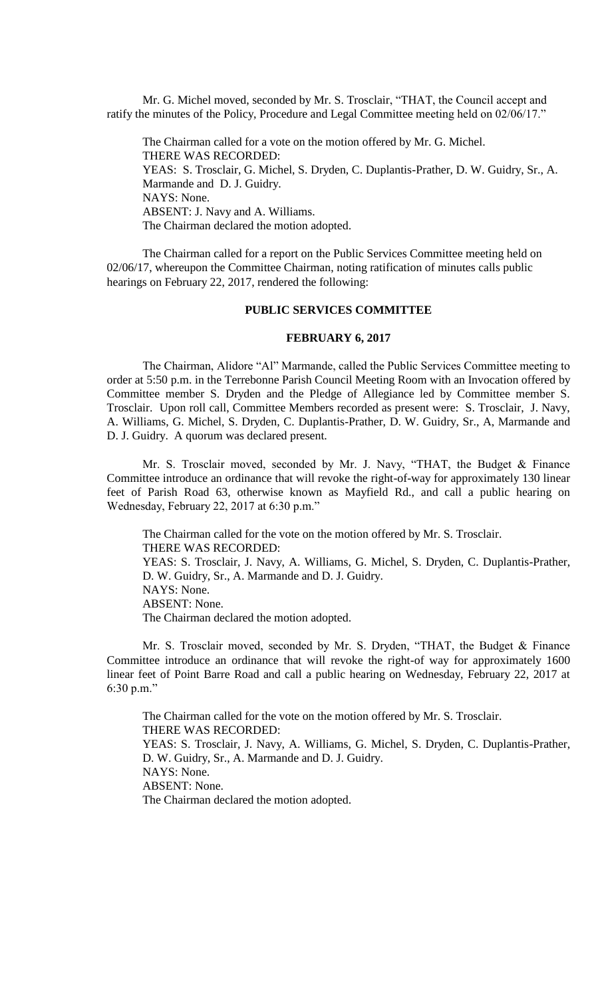Mr. G. Michel moved, seconded by Mr. S. Trosclair, "THAT, the Council accept and ratify the minutes of the Policy, Procedure and Legal Committee meeting held on 02/06/17."

The Chairman called for a vote on the motion offered by Mr. G. Michel. THERE WAS RECORDED: YEAS: S. Trosclair, G. Michel, S. Dryden, C. Duplantis-Prather, D. W. Guidry, Sr., A. Marmande and D. J. Guidry. NAYS: None. ABSENT: J. Navy and A. Williams. The Chairman declared the motion adopted.

The Chairman called for a report on the Public Services Committee meeting held on 02/06/17, whereupon the Committee Chairman, noting ratification of minutes calls public hearings on February 22, 2017, rendered the following:

# **PUBLIC SERVICES COMMITTEE**

#### **FEBRUARY 6, 2017**

The Chairman, Alidore "Al" Marmande, called the Public Services Committee meeting to order at 5:50 p.m. in the Terrebonne Parish Council Meeting Room with an Invocation offered by Committee member S. Dryden and the Pledge of Allegiance led by Committee member S. Trosclair. Upon roll call, Committee Members recorded as present were: S. Trosclair, J. Navy, A. Williams, G. Michel, S. Dryden, C. Duplantis-Prather, D. W. Guidry, Sr., A, Marmande and D. J. Guidry. A quorum was declared present.

Mr. S. Trosclair moved, seconded by Mr. J. Navy, "THAT, the Budget & Finance Committee introduce an ordinance that will revoke the right-of-way for approximately 130 linear feet of Parish Road 63, otherwise known as Mayfield Rd., and call a public hearing on Wednesday, February 22, 2017 at 6:30 p.m."

The Chairman called for the vote on the motion offered by Mr. S. Trosclair. THERE WAS RECORDED: YEAS: S. Trosclair, J. Navy, A. Williams, G. Michel, S. Dryden, C. Duplantis-Prather, D. W. Guidry, Sr., A. Marmande and D. J. Guidry. NAYS: None. ABSENT: None. The Chairman declared the motion adopted.

Mr. S. Trosclair moved, seconded by Mr. S. Dryden, "THAT, the Budget & Finance Committee introduce an ordinance that will revoke the right-of way for approximately 1600 linear feet of Point Barre Road and call a public hearing on Wednesday, February 22, 2017 at 6:30 p.m."

The Chairman called for the vote on the motion offered by Mr. S. Trosclair. THERE WAS RECORDED: YEAS: S. Trosclair, J. Navy, A. Williams, G. Michel, S. Dryden, C. Duplantis-Prather, D. W. Guidry, Sr., A. Marmande and D. J. Guidry. NAYS: None. ABSENT: None. The Chairman declared the motion adopted.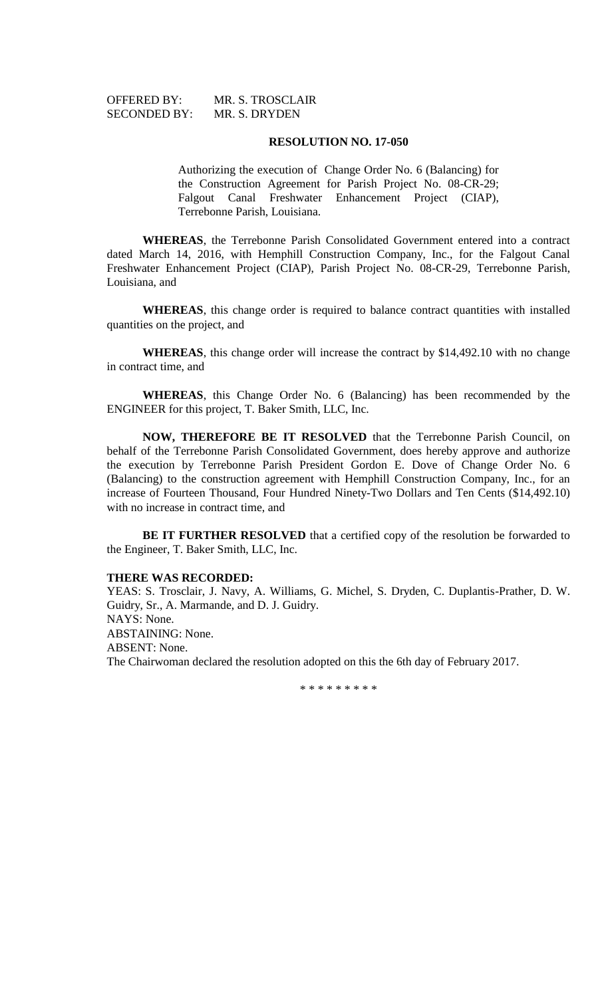| <b>OFFERED BY:</b>  | MR. S. TROSCLAIR |
|---------------------|------------------|
| <b>SECONDED BY:</b> | MR. S. DRYDEN    |

Authorizing the execution of Change Order No. 6 (Balancing) for the Construction Agreement for Parish Project No. 08-CR-29; Falgout Canal Freshwater Enhancement Project (CIAP), Terrebonne Parish, Louisiana.

**WHEREAS**, the Terrebonne Parish Consolidated Government entered into a contract dated March 14, 2016, with Hemphill Construction Company, Inc., for the Falgout Canal Freshwater Enhancement Project (CIAP), Parish Project No. 08-CR-29, Terrebonne Parish, Louisiana, and

**WHEREAS**, this change order is required to balance contract quantities with installed quantities on the project, and

**WHEREAS**, this change order will increase the contract by \$14,492.10 with no change in contract time, and

**WHEREAS**, this Change Order No. 6 (Balancing) has been recommended by the ENGINEER for this project, T. Baker Smith, LLC, Inc.

**NOW, THEREFORE BE IT RESOLVED** that the Terrebonne Parish Council, on behalf of the Terrebonne Parish Consolidated Government, does hereby approve and authorize the execution by Terrebonne Parish President Gordon E. Dove of Change Order No. 6 (Balancing) to the construction agreement with Hemphill Construction Company, Inc., for an increase of Fourteen Thousand, Four Hundred Ninety-Two Dollars and Ten Cents (\$14,492.10) with no increase in contract time, and

**BE IT FURTHER RESOLVED** that a certified copy of the resolution be forwarded to the Engineer, T. Baker Smith, LLC, Inc.

## **THERE WAS RECORDED:**

YEAS: S. Trosclair, J. Navy, A. Williams, G. Michel, S. Dryden, C. Duplantis-Prather, D. W. Guidry, Sr., A. Marmande, and D. J. Guidry. NAYS: None. ABSTAINING: None. ABSENT: None. The Chairwoman declared the resolution adopted on this the 6th day of February 2017.

\* \* \* \* \* \* \* \* \*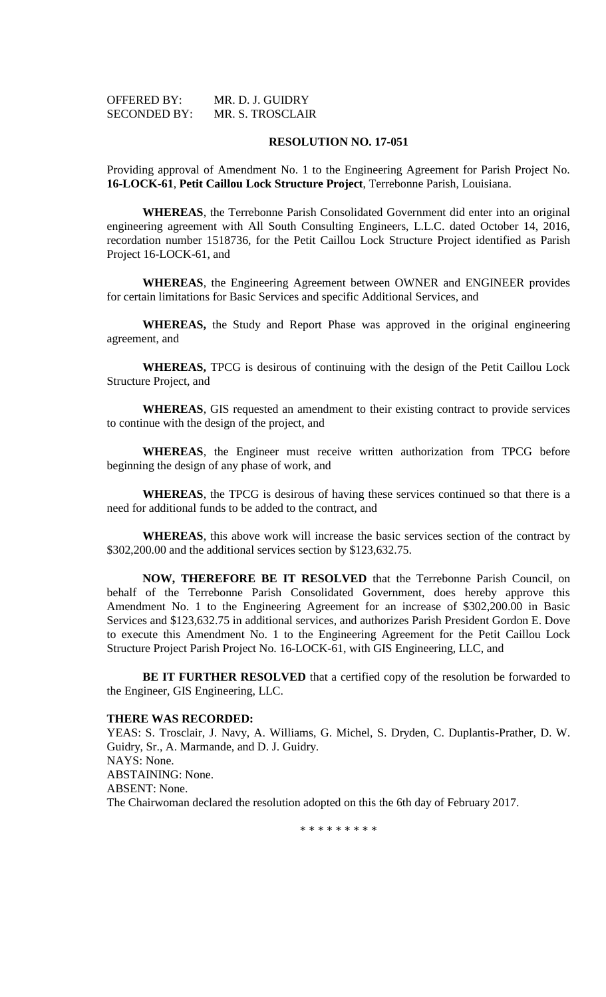| <b>OFFERED BY:</b>  | MR. D. J. GUIDRY |
|---------------------|------------------|
| <b>SECONDED BY:</b> | MR. S. TROSCLAIR |

Providing approval of Amendment No. 1 to the Engineering Agreement for Parish Project No. **16-LOCK-61**, **Petit Caillou Lock Structure Project**, Terrebonne Parish, Louisiana.

**WHEREAS**, the Terrebonne Parish Consolidated Government did enter into an original engineering agreement with All South Consulting Engineers, L.L.C. dated October 14, 2016, recordation number 1518736, for the Petit Caillou Lock Structure Project identified as Parish Project 16-LOCK-61, and

**WHEREAS**, the Engineering Agreement between OWNER and ENGINEER provides for certain limitations for Basic Services and specific Additional Services, and

**WHEREAS,** the Study and Report Phase was approved in the original engineering agreement, and

**WHEREAS,** TPCG is desirous of continuing with the design of the Petit Caillou Lock Structure Project, and

**WHEREAS**, GIS requested an amendment to their existing contract to provide services to continue with the design of the project, and

**WHEREAS**, the Engineer must receive written authorization from TPCG before beginning the design of any phase of work, and

**WHEREAS**, the TPCG is desirous of having these services continued so that there is a need for additional funds to be added to the contract, and

**WHEREAS**, this above work will increase the basic services section of the contract by \$302,200.00 and the additional services section by \$123,632.75.

**NOW, THEREFORE BE IT RESOLVED** that the Terrebonne Parish Council, on behalf of the Terrebonne Parish Consolidated Government, does hereby approve this Amendment No. 1 to the Engineering Agreement for an increase of \$302,200.00 in Basic Services and \$123,632.75 in additional services, and authorizes Parish President Gordon E. Dove to execute this Amendment No. 1 to the Engineering Agreement for the Petit Caillou Lock Structure Project Parish Project No. 16-LOCK-61, with GIS Engineering, LLC, and

**BE IT FURTHER RESOLVED** that a certified copy of the resolution be forwarded to the Engineer, GIS Engineering, LLC.

## **THERE WAS RECORDED:**

YEAS: S. Trosclair, J. Navy, A. Williams, G. Michel, S. Dryden, C. Duplantis-Prather, D. W. Guidry, Sr., A. Marmande, and D. J. Guidry. NAYS: None. ABSTAINING: None. ABSENT: None. The Chairwoman declared the resolution adopted on this the 6th day of February 2017.

\* \* \* \* \* \* \* \* \*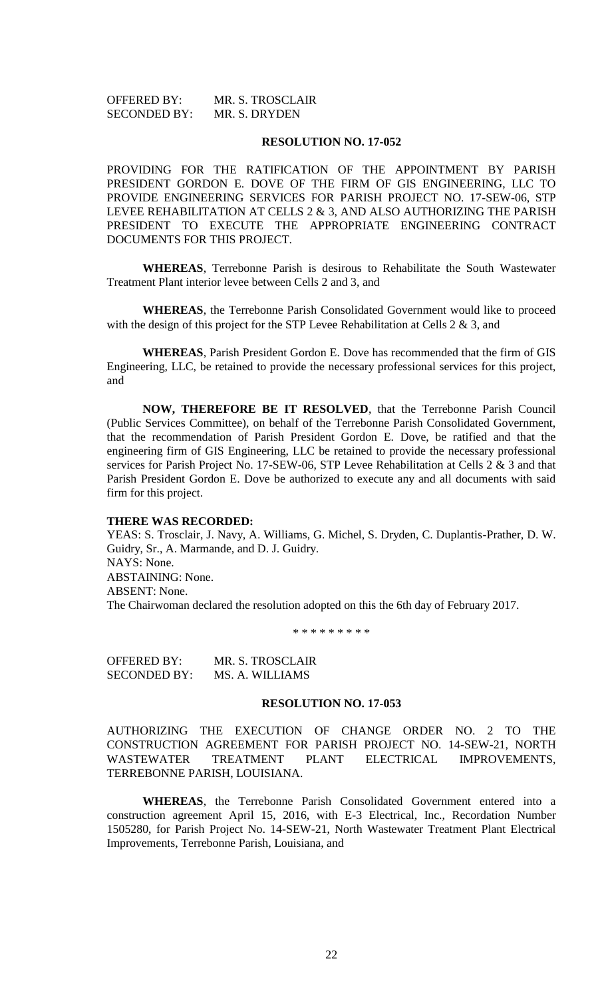| <b>OFFERED BY:</b>  | MR. S. TROSCLAIR |
|---------------------|------------------|
| <b>SECONDED BY:</b> | MR. S. DRYDEN    |

PROVIDING FOR THE RATIFICATION OF THE APPOINTMENT BY PARISH PRESIDENT GORDON E. DOVE OF THE FIRM OF GIS ENGINEERING, LLC TO PROVIDE ENGINEERING SERVICES FOR PARISH PROJECT NO. 17-SEW-06, STP LEVEE REHABILITATION AT CELLS 2 & 3, AND ALSO AUTHORIZING THE PARISH PRESIDENT TO EXECUTE THE APPROPRIATE ENGINEERING CONTRACT DOCUMENTS FOR THIS PROJECT.

**WHEREAS**, Terrebonne Parish is desirous to Rehabilitate the South Wastewater Treatment Plant interior levee between Cells 2 and 3, and

**WHEREAS**, the Terrebonne Parish Consolidated Government would like to proceed with the design of this project for the STP Levee Rehabilitation at Cells 2 & 3, and

**WHEREAS**, Parish President Gordon E. Dove has recommended that the firm of GIS Engineering, LLC, be retained to provide the necessary professional services for this project, and

**NOW, THEREFORE BE IT RESOLVED**, that the Terrebonne Parish Council (Public Services Committee), on behalf of the Terrebonne Parish Consolidated Government, that the recommendation of Parish President Gordon E. Dove, be ratified and that the engineering firm of GIS Engineering, LLC be retained to provide the necessary professional services for Parish Project No. 17-SEW-06, STP Levee Rehabilitation at Cells 2 & 3 and that Parish President Gordon E. Dove be authorized to execute any and all documents with said firm for this project.

#### **THERE WAS RECORDED:**

YEAS: S. Trosclair, J. Navy, A. Williams, G. Michel, S. Dryden, C. Duplantis-Prather, D. W. Guidry, Sr., A. Marmande, and D. J. Guidry. NAYS: None. ABSTAINING: None. ABSENT: None. The Chairwoman declared the resolution adopted on this the 6th day of February 2017.

\* \* \* \* \* \* \* \* \*

OFFERED BY: MR. S. TROSCLAIR SECONDED BY: MS. A. WILLIAMS

# **RESOLUTION NO. 17-053**

AUTHORIZING THE EXECUTION OF CHANGE ORDER NO. 2 TO THE CONSTRUCTION AGREEMENT FOR PARISH PROJECT NO. 14-SEW-21, NORTH WASTEWATER TREATMENT PLANT ELECTRICAL IMPROVEMENTS, TERREBONNE PARISH, LOUISIANA.

**WHEREAS**, the Terrebonne Parish Consolidated Government entered into a construction agreement April 15, 2016, with E-3 Electrical, Inc., Recordation Number 1505280, for Parish Project No. 14-SEW-21, North Wastewater Treatment Plant Electrical Improvements, Terrebonne Parish, Louisiana, and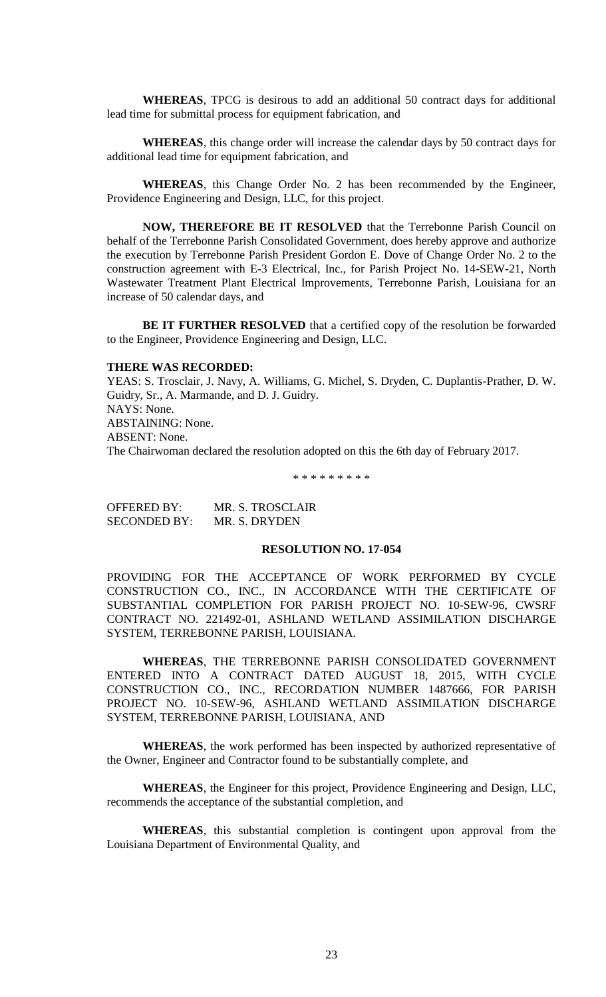**WHEREAS**, TPCG is desirous to add an additional 50 contract days for additional lead time for submittal process for equipment fabrication, and

**WHEREAS**, this change order will increase the calendar days by 50 contract days for additional lead time for equipment fabrication, and

**WHEREAS**, this Change Order No. 2 has been recommended by the Engineer, Providence Engineering and Design, LLC, for this project.

**NOW, THEREFORE BE IT RESOLVED** that the Terrebonne Parish Council on behalf of the Terrebonne Parish Consolidated Government, does hereby approve and authorize the execution by Terrebonne Parish President Gordon E. Dove of Change Order No. 2 to the construction agreement with E-3 Electrical, Inc., for Parish Project No. 14-SEW-21, North Wastewater Treatment Plant Electrical Improvements, Terrebonne Parish, Louisiana for an increase of 50 calendar days, and

**BE IT FURTHER RESOLVED** that a certified copy of the resolution be forwarded to the Engineer, Providence Engineering and Design, LLC.

## **THERE WAS RECORDED:**

YEAS: S. Trosclair, J. Navy, A. Williams, G. Michel, S. Dryden, C. Duplantis-Prather, D. W. Guidry, Sr., A. Marmande, and D. J. Guidry. NAYS: None. ABSTAINING: None. ABSENT: None. The Chairwoman declared the resolution adopted on this the 6th day of February 2017.

\* \* \* \* \* \* \* \* \*

OFFERED BY: MR. S. TROSCLAIR SECONDED BY: MR. S. DRYDEN

## **RESOLUTION NO. 17-054**

PROVIDING FOR THE ACCEPTANCE OF WORK PERFORMED BY CYCLE CONSTRUCTION CO., INC., IN ACCORDANCE WITH THE CERTIFICATE OF SUBSTANTIAL COMPLETION FOR PARISH PROJECT NO. 10-SEW-96, CWSRF CONTRACT NO. 221492-01, ASHLAND WETLAND ASSIMILATION DISCHARGE SYSTEM, TERREBONNE PARISH, LOUISIANA.

**WHEREAS**, THE TERREBONNE PARISH CONSOLIDATED GOVERNMENT ENTERED INTO A CONTRACT DATED AUGUST 18, 2015, WITH CYCLE CONSTRUCTION CO., INC., RECORDATION NUMBER 1487666, FOR PARISH PROJECT NO. 10-SEW-96, ASHLAND WETLAND ASSIMILATION DISCHARGE SYSTEM, TERREBONNE PARISH, LOUISIANA, AND

**WHEREAS**, the work performed has been inspected by authorized representative of the Owner, Engineer and Contractor found to be substantially complete, and

**WHEREAS**, the Engineer for this project, Providence Engineering and Design, LLC, recommends the acceptance of the substantial completion, and

**WHEREAS**, this substantial completion is contingent upon approval from the Louisiana Department of Environmental Quality, and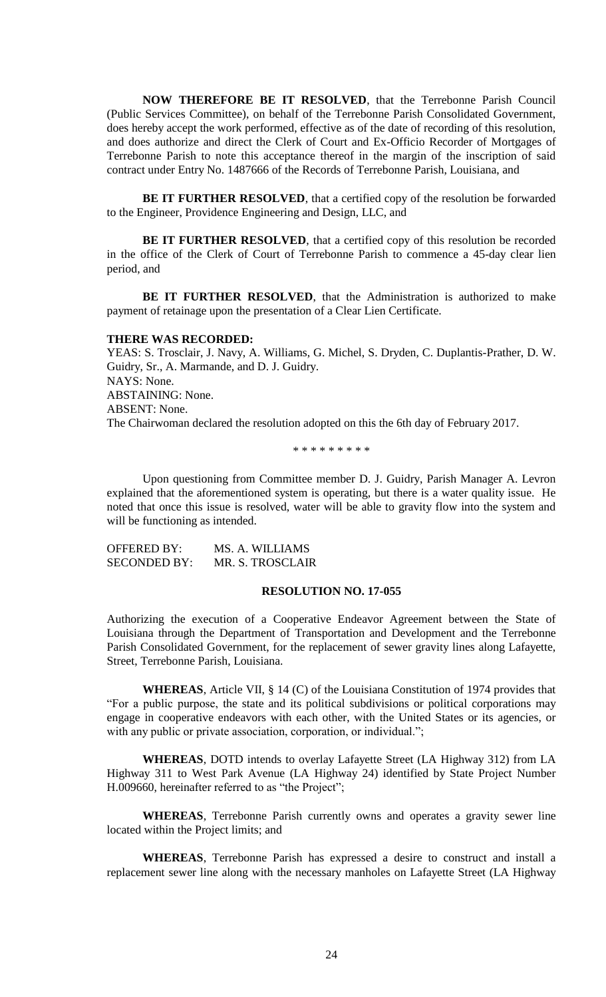**NOW THEREFORE BE IT RESOLVED**, that the Terrebonne Parish Council (Public Services Committee), on behalf of the Terrebonne Parish Consolidated Government, does hereby accept the work performed, effective as of the date of recording of this resolution, and does authorize and direct the Clerk of Court and Ex-Officio Recorder of Mortgages of Terrebonne Parish to note this acceptance thereof in the margin of the inscription of said contract under Entry No. 1487666 of the Records of Terrebonne Parish, Louisiana, and

**BE IT FURTHER RESOLVED**, that a certified copy of the resolution be forwarded to the Engineer, Providence Engineering and Design, LLC, and

BE IT FURTHER RESOLVED, that a certified copy of this resolution be recorded in the office of the Clerk of Court of Terrebonne Parish to commence a 45-day clear lien period, and

**BE IT FURTHER RESOLVED**, that the Administration is authorized to make payment of retainage upon the presentation of a Clear Lien Certificate.

#### **THERE WAS RECORDED:**

YEAS: S. Trosclair, J. Navy, A. Williams, G. Michel, S. Dryden, C. Duplantis-Prather, D. W. Guidry, Sr., A. Marmande, and D. J. Guidry. NAYS: None. ABSTAINING: None. ABSENT: None. The Chairwoman declared the resolution adopted on this the 6th day of February 2017.

\* \* \* \* \* \* \* \* \*

Upon questioning from Committee member D. J. Guidry, Parish Manager A. Levron explained that the aforementioned system is operating, but there is a water quality issue. He noted that once this issue is resolved, water will be able to gravity flow into the system and will be functioning as intended.

| OFFERED BY:         | MS. A. WILLIAMS  |
|---------------------|------------------|
| <b>SECONDED BY:</b> | MR. S. TROSCLAIR |

### **RESOLUTION NO. 17-055**

Authorizing the execution of a Cooperative Endeavor Agreement between the State of Louisiana through the Department of Transportation and Development and the Terrebonne Parish Consolidated Government, for the replacement of sewer gravity lines along Lafayette, Street, Terrebonne Parish, Louisiana.

**WHEREAS**, Article VII, § 14 (C) of the Louisiana Constitution of 1974 provides that "For a public purpose, the state and its political subdivisions or political corporations may engage in cooperative endeavors with each other, with the United States or its agencies, or with any public or private association, corporation, or individual.";

**WHEREAS**, DOTD intends to overlay Lafayette Street (LA Highway 312) from LA Highway 311 to West Park Avenue (LA Highway 24) identified by State Project Number H.009660, hereinafter referred to as "the Project";

**WHEREAS**, Terrebonne Parish currently owns and operates a gravity sewer line located within the Project limits; and

**WHEREAS**, Terrebonne Parish has expressed a desire to construct and install a replacement sewer line along with the necessary manholes on Lafayette Street (LA Highway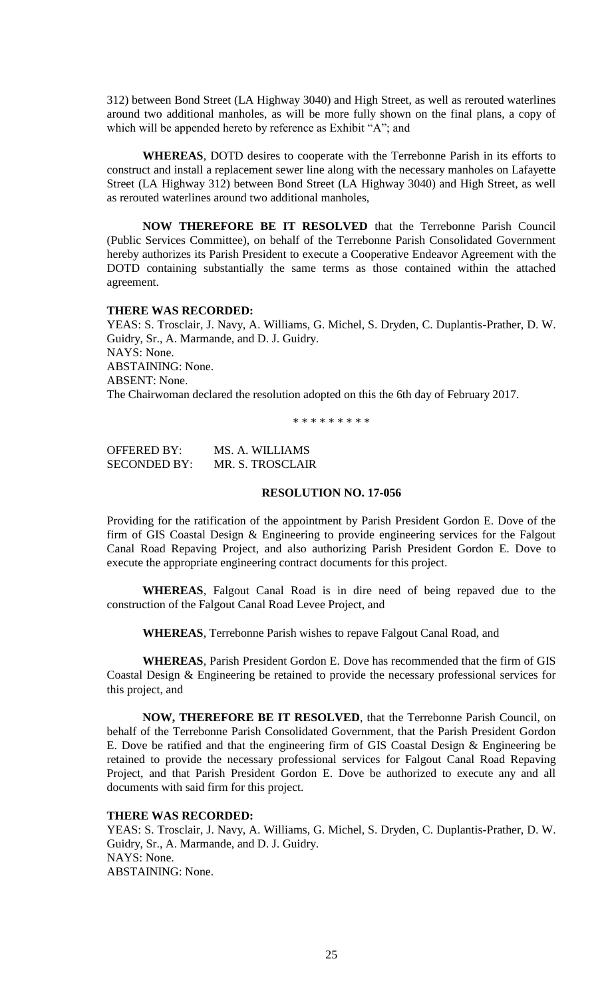312) between Bond Street (LA Highway 3040) and High Street, as well as rerouted waterlines around two additional manholes, as will be more fully shown on the final plans, a copy of which will be appended hereto by reference as Exhibit "A"; and

**WHEREAS**, DOTD desires to cooperate with the Terrebonne Parish in its efforts to construct and install a replacement sewer line along with the necessary manholes on Lafayette Street (LA Highway 312) between Bond Street (LA Highway 3040) and High Street, as well as rerouted waterlines around two additional manholes,

**NOW THEREFORE BE IT RESOLVED** that the Terrebonne Parish Council (Public Services Committee), on behalf of the Terrebonne Parish Consolidated Government hereby authorizes its Parish President to execute a Cooperative Endeavor Agreement with the DOTD containing substantially the same terms as those contained within the attached agreement.

## **THERE WAS RECORDED:**

YEAS: S. Trosclair, J. Navy, A. Williams, G. Michel, S. Dryden, C. Duplantis-Prather, D. W. Guidry, Sr., A. Marmande, and D. J. Guidry. NAYS: None. ABSTAINING: None. ABSENT: None. The Chairwoman declared the resolution adopted on this the 6th day of February 2017.

\* \* \* \* \* \* \* \* \*

OFFERED BY: MS. A. WILLIAMS SECONDED BY: MR. S. TROSCLAIR

### **RESOLUTION NO. 17-056**

Providing for the ratification of the appointment by Parish President Gordon E. Dove of the firm of GIS Coastal Design & Engineering to provide engineering services for the Falgout Canal Road Repaving Project, and also authorizing Parish President Gordon E. Dove to execute the appropriate engineering contract documents for this project.

**WHEREAS**, Falgout Canal Road is in dire need of being repaved due to the construction of the Falgout Canal Road Levee Project, and

**WHEREAS**, Terrebonne Parish wishes to repave Falgout Canal Road, and

**WHEREAS**, Parish President Gordon E. Dove has recommended that the firm of GIS Coastal Design & Engineering be retained to provide the necessary professional services for this project, and

**NOW, THEREFORE BE IT RESOLVED**, that the Terrebonne Parish Council, on behalf of the Terrebonne Parish Consolidated Government, that the Parish President Gordon E. Dove be ratified and that the engineering firm of GIS Coastal Design & Engineering be retained to provide the necessary professional services for Falgout Canal Road Repaving Project, and that Parish President Gordon E. Dove be authorized to execute any and all documents with said firm for this project.

## **THERE WAS RECORDED:**

YEAS: S. Trosclair, J. Navy, A. Williams, G. Michel, S. Dryden, C. Duplantis-Prather, D. W. Guidry, Sr., A. Marmande, and D. J. Guidry. NAYS: None. ABSTAINING: None.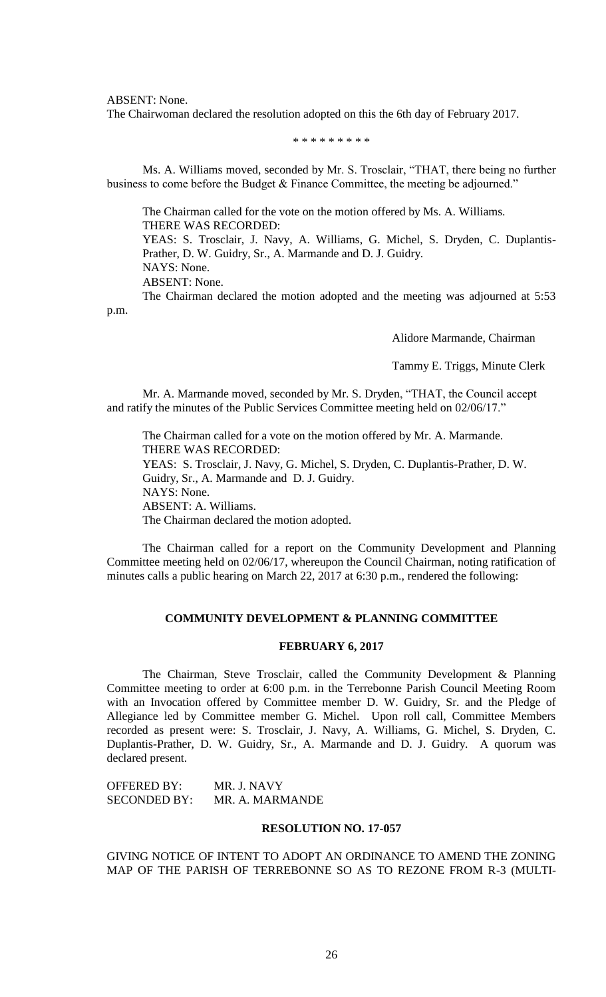ABSENT: None.

The Chairwoman declared the resolution adopted on this the 6th day of February 2017.

\* \* \* \* \* \* \* \* \*

Ms. A. Williams moved, seconded by Mr. S. Trosclair, "THAT, there being no further business to come before the Budget & Finance Committee, the meeting be adjourned."

The Chairman called for the vote on the motion offered by Ms. A. Williams. THERE WAS RECORDED:

YEAS: S. Trosclair, J. Navy, A. Williams, G. Michel, S. Dryden, C. Duplantis-Prather, D. W. Guidry, Sr., A. Marmande and D. J. Guidry. NAYS: None.

ABSENT: None.

The Chairman declared the motion adopted and the meeting was adjourned at 5:53 p.m.

Alidore Marmande, Chairman

Tammy E. Triggs, Minute Clerk

Mr. A. Marmande moved, seconded by Mr. S. Dryden, "THAT, the Council accept and ratify the minutes of the Public Services Committee meeting held on 02/06/17."

The Chairman called for a vote on the motion offered by Mr. A. Marmande. THERE WAS RECORDED: YEAS: S. Trosclair, J. Navy, G. Michel, S. Dryden, C. Duplantis-Prather, D. W. Guidry, Sr., A. Marmande and D. J. Guidry. NAYS: None. ABSENT: A. Williams. The Chairman declared the motion adopted.

The Chairman called for a report on the Community Development and Planning Committee meeting held on 02/06/17, whereupon the Council Chairman, noting ratification of minutes calls a public hearing on March 22, 2017 at 6:30 p.m., rendered the following:

## **COMMUNITY DEVELOPMENT & PLANNING COMMITTEE**

## **FEBRUARY 6, 2017**

The Chairman, Steve Trosclair, called the Community Development & Planning Committee meeting to order at 6:00 p.m. in the Terrebonne Parish Council Meeting Room with an Invocation offered by Committee member D. W. Guidry, Sr. and the Pledge of Allegiance led by Committee member G. Michel. Upon roll call, Committee Members recorded as present were: S. Trosclair, J. Navy, A. Williams, G. Michel, S. Dryden, C. Duplantis-Prather, D. W. Guidry, Sr., A. Marmande and D. J. Guidry. A quorum was declared present.

OFFERED BY: MR. J. NAVY SECONDED BY: MR. A. MARMANDE

## **RESOLUTION NO. 17-057**

GIVING NOTICE OF INTENT TO ADOPT AN ORDINANCE TO AMEND THE ZONING MAP OF THE PARISH OF TERREBONNE SO AS TO REZONE FROM R-3 (MULTI-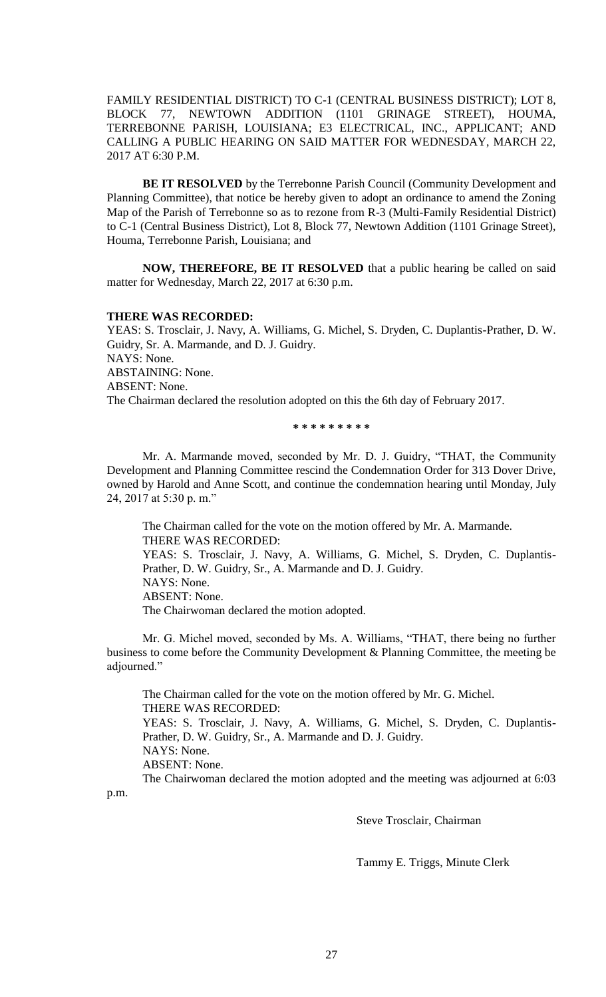FAMILY RESIDENTIAL DISTRICT) TO C-1 (CENTRAL BUSINESS DISTRICT); LOT 8, BLOCK 77, NEWTOWN ADDITION (1101 GRINAGE STREET), HOUMA, TERREBONNE PARISH, LOUISIANA; E3 ELECTRICAL, INC., APPLICANT; AND CALLING A PUBLIC HEARING ON SAID MATTER FOR WEDNESDAY, MARCH 22, 2017 AT 6:30 P.M.

**BE IT RESOLVED** by the Terrebonne Parish Council (Community Development and Planning Committee), that notice be hereby given to adopt an ordinance to amend the Zoning Map of the Parish of Terrebonne so as to rezone from R-3 (Multi-Family Residential District) to C-1 (Central Business District), Lot 8, Block 77, Newtown Addition (1101 Grinage Street), Houma, Terrebonne Parish, Louisiana; and

**NOW, THEREFORE, BE IT RESOLVED** that a public hearing be called on said matter for Wednesday, March 22, 2017 at 6:30 p.m.

# **THERE WAS RECORDED:**

YEAS: S. Trosclair, J. Navy, A. Williams, G. Michel, S. Dryden, C. Duplantis-Prather, D. W. Guidry, Sr. A. Marmande, and D. J. Guidry. NAYS: None. ABSTAINING: None. ABSENT: None. The Chairman declared the resolution adopted on this the 6th day of February 2017.

**\* \* \* \* \* \* \* \* \***

Mr. A. Marmande moved, seconded by Mr. D. J. Guidry, "THAT, the Community Development and Planning Committee rescind the Condemnation Order for 313 Dover Drive, owned by Harold and Anne Scott, and continue the condemnation hearing until Monday, July 24, 2017 at 5:30 p. m."

The Chairman called for the vote on the motion offered by Mr. A. Marmande. THERE WAS RECORDED:

YEAS: S. Trosclair, J. Navy, A. Williams, G. Michel, S. Dryden, C. Duplantis-Prather, D. W. Guidry, Sr., A. Marmande and D. J. Guidry. NAYS: None. ABSENT: None.

The Chairwoman declared the motion adopted.

Mr. G. Michel moved, seconded by Ms. A. Williams, "THAT, there being no further business to come before the Community Development & Planning Committee, the meeting be adjourned."

The Chairman called for the vote on the motion offered by Mr. G. Michel. THERE WAS RECORDED: YEAS: S. Trosclair, J. Navy, A. Williams, G. Michel, S. Dryden, C. Duplantis-Prather, D. W. Guidry, Sr., A. Marmande and D. J. Guidry. NAYS: None. ABSENT: None.

The Chairwoman declared the motion adopted and the meeting was adjourned at 6:03 p.m.

Steve Trosclair, Chairman

Tammy E. Triggs, Minute Clerk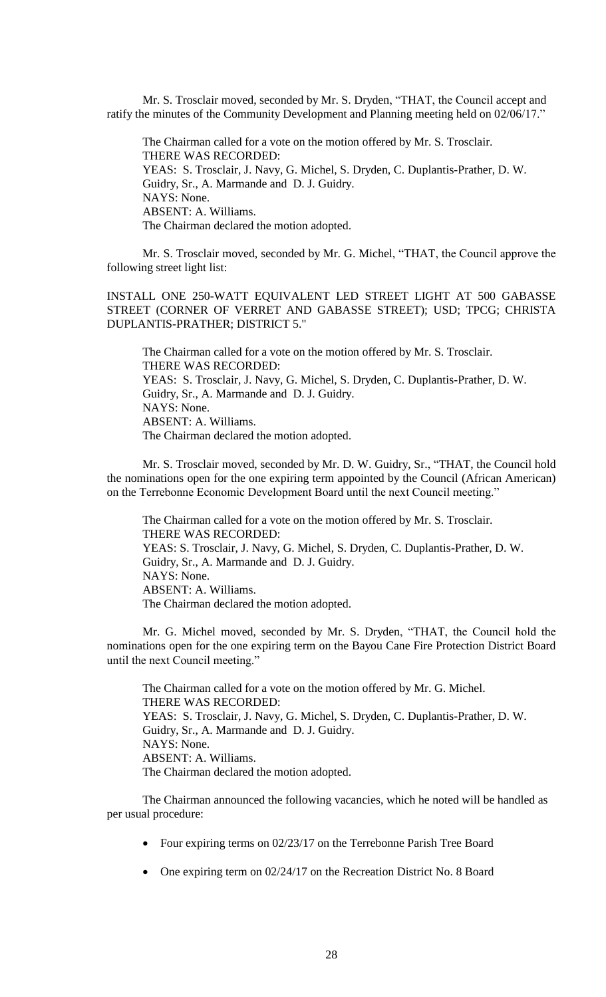Mr. S. Trosclair moved, seconded by Mr. S. Dryden, "THAT, the Council accept and ratify the minutes of the Community Development and Planning meeting held on 02/06/17."

The Chairman called for a vote on the motion offered by Mr. S. Trosclair. THERE WAS RECORDED: YEAS: S. Trosclair, J. Navy, G. Michel, S. Dryden, C. Duplantis-Prather, D. W. Guidry, Sr., A. Marmande and D. J. Guidry. NAYS: None. ABSENT: A. Williams. The Chairman declared the motion adopted.

Mr. S. Trosclair moved, seconded by Mr. G. Michel, "THAT, the Council approve the following street light list:

INSTALL ONE 250-WATT EQUIVALENT LED STREET LIGHT AT 500 GABASSE STREET (CORNER OF VERRET AND GABASSE STREET); USD; TPCG; CHRISTA DUPLANTIS-PRATHER; DISTRICT 5."

The Chairman called for a vote on the motion offered by Mr. S. Trosclair. THERE WAS RECORDED: YEAS: S. Trosclair, J. Navy, G. Michel, S. Dryden, C. Duplantis-Prather, D. W. Guidry, Sr., A. Marmande and D. J. Guidry. NAYS: None. ABSENT: A. Williams. The Chairman declared the motion adopted.

Mr. S. Trosclair moved, seconded by Mr. D. W. Guidry, Sr., "THAT, the Council hold the nominations open for the one expiring term appointed by the Council (African American) on the Terrebonne Economic Development Board until the next Council meeting."

The Chairman called for a vote on the motion offered by Mr. S. Trosclair. THERE WAS RECORDED: YEAS: S. Trosclair, J. Navy, G. Michel, S. Dryden, C. Duplantis-Prather, D. W. Guidry, Sr., A. Marmande and D. J. Guidry. NAYS: None. ABSENT: A. Williams. The Chairman declared the motion adopted.

Mr. G. Michel moved, seconded by Mr. S. Dryden, "THAT, the Council hold the nominations open for the one expiring term on the Bayou Cane Fire Protection District Board until the next Council meeting."

The Chairman called for a vote on the motion offered by Mr. G. Michel. THERE WAS RECORDED: YEAS: S. Trosclair, J. Navy, G. Michel, S. Dryden, C. Duplantis-Prather, D. W. Guidry, Sr., A. Marmande and D. J. Guidry. NAYS: None. ABSENT: A. Williams. The Chairman declared the motion adopted.

The Chairman announced the following vacancies, which he noted will be handled as per usual procedure:

- Four expiring terms on 02/23/17 on the Terrebonne Parish Tree Board
- One expiring term on 02/24/17 on the Recreation District No. 8 Board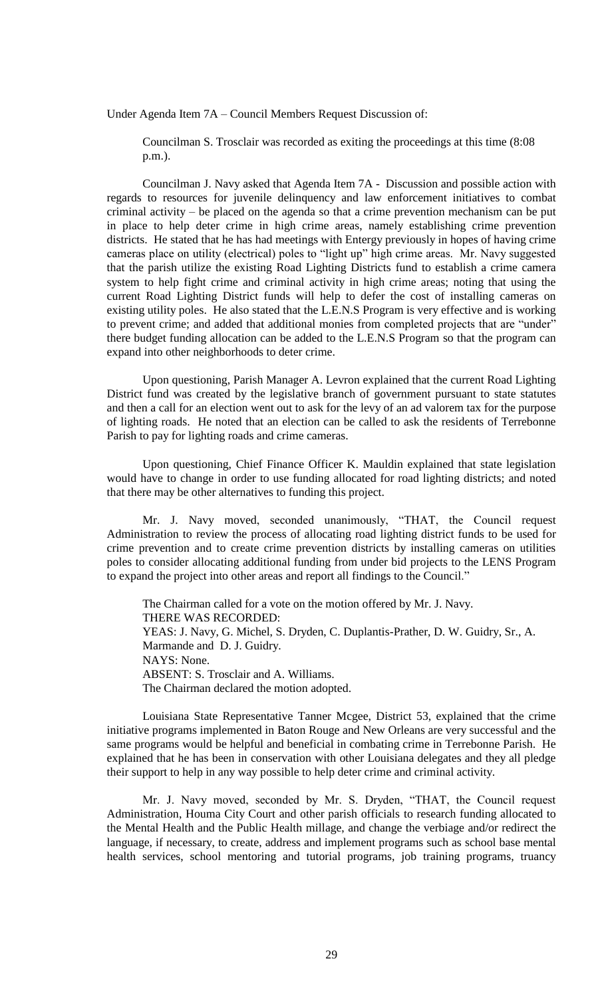Under Agenda Item 7A – Council Members Request Discussion of:

Councilman S. Trosclair was recorded as exiting the proceedings at this time (8:08 p.m.).

Councilman J. Navy asked that Agenda Item 7A - Discussion and possible action with regards to resources for juvenile delinquency and law enforcement initiatives to combat criminal activity – be placed on the agenda so that a crime prevention mechanism can be put in place to help deter crime in high crime areas, namely establishing crime prevention districts. He stated that he has had meetings with Entergy previously in hopes of having crime cameras place on utility (electrical) poles to "light up" high crime areas. Mr. Navy suggested that the parish utilize the existing Road Lighting Districts fund to establish a crime camera system to help fight crime and criminal activity in high crime areas; noting that using the current Road Lighting District funds will help to defer the cost of installing cameras on existing utility poles. He also stated that the L.E.N.S Program is very effective and is working to prevent crime; and added that additional monies from completed projects that are "under" there budget funding allocation can be added to the L.E.N.S Program so that the program can expand into other neighborhoods to deter crime.

Upon questioning, Parish Manager A. Levron explained that the current Road Lighting District fund was created by the legislative branch of government pursuant to state statutes and then a call for an election went out to ask for the levy of an ad valorem tax for the purpose of lighting roads. He noted that an election can be called to ask the residents of Terrebonne Parish to pay for lighting roads and crime cameras.

Upon questioning, Chief Finance Officer K. Mauldin explained that state legislation would have to change in order to use funding allocated for road lighting districts; and noted that there may be other alternatives to funding this project.

Mr. J. Navy moved, seconded unanimously, "THAT, the Council request Administration to review the process of allocating road lighting district funds to be used for crime prevention and to create crime prevention districts by installing cameras on utilities poles to consider allocating additional funding from under bid projects to the LENS Program to expand the project into other areas and report all findings to the Council."

The Chairman called for a vote on the motion offered by Mr. J. Navy. THERE WAS RECORDED: YEAS: J. Navy, G. Michel, S. Dryden, C. Duplantis-Prather, D. W. Guidry, Sr., A. Marmande and D. J. Guidry. NAYS: None. ABSENT: S. Trosclair and A. Williams. The Chairman declared the motion adopted.

Louisiana State Representative Tanner Mcgee, District 53, explained that the crime initiative programs implemented in Baton Rouge and New Orleans are very successful and the same programs would be helpful and beneficial in combating crime in Terrebonne Parish. He explained that he has been in conservation with other Louisiana delegates and they all pledge their support to help in any way possible to help deter crime and criminal activity.

Mr. J. Navy moved, seconded by Mr. S. Dryden, "THAT, the Council request Administration, Houma City Court and other parish officials to research funding allocated to the Mental Health and the Public Health millage, and change the verbiage and/or redirect the language, if necessary, to create, address and implement programs such as school base mental health services, school mentoring and tutorial programs, job training programs, truancy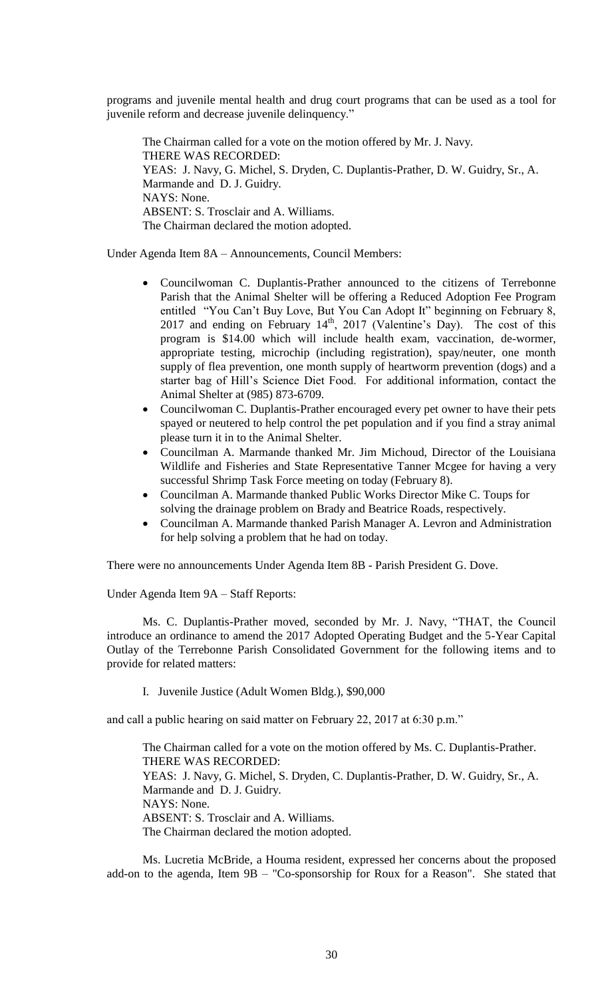programs and juvenile mental health and drug court programs that can be used as a tool for juvenile reform and decrease juvenile delinquency."

The Chairman called for a vote on the motion offered by Mr. J. Navy. THERE WAS RECORDED: YEAS: J. Navy, G. Michel, S. Dryden, C. Duplantis-Prather, D. W. Guidry, Sr., A. Marmande and D. J. Guidry. NAYS: None. ABSENT: S. Trosclair and A. Williams. The Chairman declared the motion adopted.

Under Agenda Item 8A – Announcements, Council Members:

- Councilwoman C. Duplantis-Prather announced to the citizens of Terrebonne Parish that the Animal Shelter will be offering a Reduced Adoption Fee Program entitled "You Can't Buy Love, But You Can Adopt It" beginning on February 8, 2017 and ending on February  $14<sup>th</sup>$ , 2017 (Valentine's Day). The cost of this program is \$14.00 which will include health exam, vaccination, de-wormer, appropriate testing, microchip (including registration), spay/neuter, one month supply of flea prevention, one month supply of heartworm prevention (dogs) and a starter bag of Hill's Science Diet Food. For additional information, contact the Animal Shelter at (985) 873-6709.
- Councilwoman C. Duplantis-Prather encouraged every pet owner to have their pets spayed or neutered to help control the pet population and if you find a stray animal please turn it in to the Animal Shelter.
- Councilman A. Marmande thanked Mr. Jim Michoud, Director of the Louisiana Wildlife and Fisheries and State Representative Tanner Mcgee for having a very successful Shrimp Task Force meeting on today (February 8).
- Councilman A. Marmande thanked Public Works Director Mike C. Toups for solving the drainage problem on Brady and Beatrice Roads, respectively.
- Councilman A. Marmande thanked Parish Manager A. Levron and Administration for help solving a problem that he had on today.

There were no announcements Under Agenda Item 8B - Parish President G. Dove.

Under Agenda Item 9A – Staff Reports:

Ms. C. Duplantis-Prather moved, seconded by Mr. J. Navy, "THAT, the Council introduce an ordinance to amend the 2017 Adopted Operating Budget and the 5-Year Capital Outlay of the Terrebonne Parish Consolidated Government for the following items and to provide for related matters:

I. Juvenile Justice (Adult Women Bldg.), \$90,000

and call a public hearing on said matter on February 22, 2017 at 6:30 p.m."

The Chairman called for a vote on the motion offered by Ms. C. Duplantis-Prather. THERE WAS RECORDED: YEAS: J. Navy, G. Michel, S. Dryden, C. Duplantis-Prather, D. W. Guidry, Sr., A. Marmande and D. J. Guidry. NAYS: None. ABSENT: S. Trosclair and A. Williams. The Chairman declared the motion adopted.

Ms. Lucretia McBride, a Houma resident, expressed her concerns about the proposed add-on to the agenda, Item 9B – "Co-sponsorship for Roux for a Reason". She stated that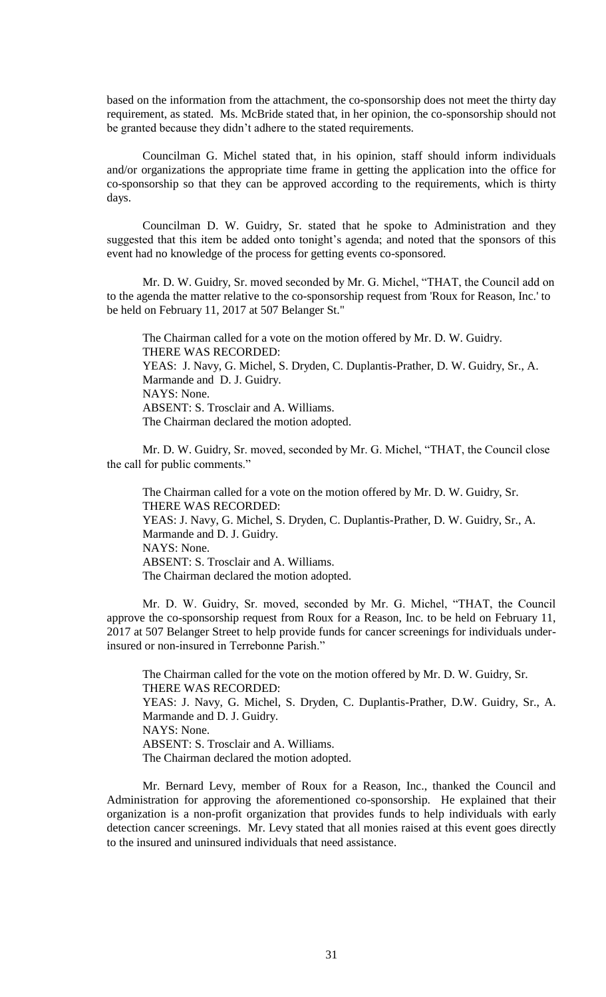based on the information from the attachment, the co-sponsorship does not meet the thirty day requirement, as stated. Ms. McBride stated that, in her opinion, the co-sponsorship should not be granted because they didn't adhere to the stated requirements.

Councilman G. Michel stated that, in his opinion, staff should inform individuals and/or organizations the appropriate time frame in getting the application into the office for co-sponsorship so that they can be approved according to the requirements, which is thirty days.

Councilman D. W. Guidry, Sr. stated that he spoke to Administration and they suggested that this item be added onto tonight's agenda; and noted that the sponsors of this event had no knowledge of the process for getting events co-sponsored.

Mr. D. W. Guidry, Sr. moved seconded by Mr. G. Michel, "THAT, the Council add on to the agenda the matter relative to the co-sponsorship request from 'Roux for Reason, Inc.' to be held on February 11, 2017 at 507 Belanger St."

The Chairman called for a vote on the motion offered by Mr. D. W. Guidry. THERE WAS RECORDED: YEAS: J. Navy, G. Michel, S. Dryden, C. Duplantis-Prather, D. W. Guidry, Sr., A. Marmande and D. J. Guidry. NAYS: None. ABSENT: S. Trosclair and A. Williams. The Chairman declared the motion adopted.

Mr. D. W. Guidry, Sr. moved, seconded by Mr. G. Michel, "THAT, the Council close the call for public comments."

The Chairman called for a vote on the motion offered by Mr. D. W. Guidry, Sr. THERE WAS RECORDED: YEAS: J. Navy, G. Michel, S. Dryden, C. Duplantis-Prather, D. W. Guidry, Sr., A. Marmande and D. J. Guidry. NAYS: None. ABSENT: S. Trosclair and A. Williams. The Chairman declared the motion adopted.

Mr. D. W. Guidry, Sr. moved, seconded by Mr. G. Michel, "THAT, the Council approve the co-sponsorship request from Roux for a Reason, Inc. to be held on February 11, 2017 at 507 Belanger Street to help provide funds for cancer screenings for individuals underinsured or non-insured in Terrebonne Parish."

The Chairman called for the vote on the motion offered by Mr. D. W. Guidry, Sr. THERE WAS RECORDED: YEAS: J. Navy, G. Michel, S. Dryden, C. Duplantis-Prather, D.W. Guidry, Sr., A. Marmande and D. J. Guidry. NAYS: None. ABSENT: S. Trosclair and A. Williams. The Chairman declared the motion adopted.

Mr. Bernard Levy, member of Roux for a Reason, Inc., thanked the Council and Administration for approving the aforementioned co-sponsorship. He explained that their organization is a non-profit organization that provides funds to help individuals with early detection cancer screenings. Mr. Levy stated that all monies raised at this event goes directly to the insured and uninsured individuals that need assistance.